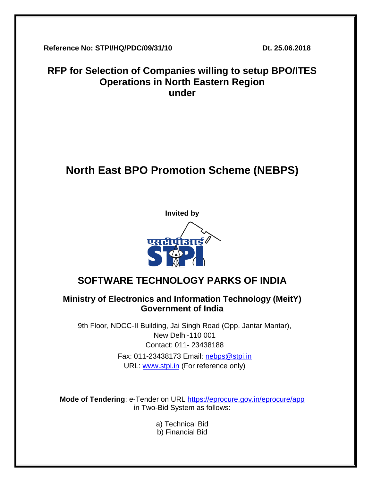**Reference No: STPI/HQ/PDC/09/31/10 Dt. 25.06.2018**

# **RFP for Selection of Companies willing to setup BPO/ITES Operations in North Eastern Region under**

# **North East BPO Promotion Scheme (NEBPS)**



# **SOFTWARE TECHNOLOGY PARKS OF INDIA**

# **Ministry of Electronics and Information Technology (MeitY) Government of India**

9th Floor, NDCC-II Building, Jai Singh Road (Opp. Jantar Mantar), New Delhi-110 001 Contact: 011- 23438188 Fax: 011-23438173 Email: [nebps@stpi.in](mailto:nebps@stpi.in) URL: [www.stpi.in](http://www.stpi.in/) (For reference only)

**Mode of Tendering**: e-Tender on URL<https://eprocure.gov.in/eprocure/app> in Two-Bid System as follows:

- a) Technical Bid
- b) Financial Bid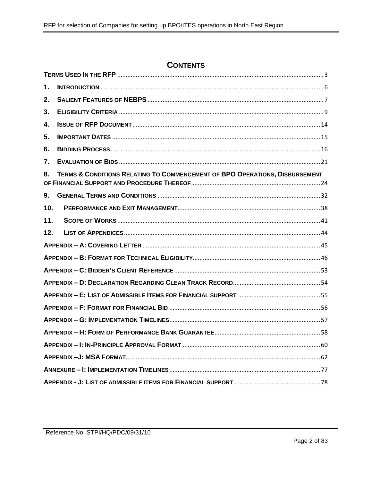# **CONTENTS**

| 1.  |                                                                             |
|-----|-----------------------------------------------------------------------------|
| 2.  |                                                                             |
| 3.  |                                                                             |
| 4.  |                                                                             |
| 5.  |                                                                             |
| 6.  |                                                                             |
| 7.  |                                                                             |
| 8.  | TERMS & CONDITIONS RELATING TO COMMENCEMENT OF BPO OPERATIONS, DISBURSEMENT |
| 9.  |                                                                             |
| 10. |                                                                             |
| 11. |                                                                             |
| 12. |                                                                             |
|     |                                                                             |
|     |                                                                             |
|     |                                                                             |
|     |                                                                             |
|     |                                                                             |
|     |                                                                             |
|     |                                                                             |
|     |                                                                             |
|     |                                                                             |
|     |                                                                             |
|     |                                                                             |
|     |                                                                             |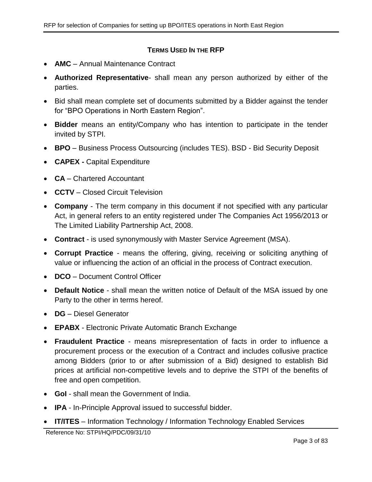#### **TERMS USED IN THE RFP**

- <span id="page-2-0"></span>• **AMC** – Annual Maintenance Contract
- **Authorized Representative** shall mean any person authorized by either of the parties.
- Bid shall mean complete set of documents submitted by a Bidder against the tender for "BPO Operations in North Eastern Region".
- **Bidder** means an entity/Company who has intention to participate in the tender invited by STPI.
- **BPO** Business Process Outsourcing (includes TES). BSD Bid Security Deposit
- **CAPEX -** Capital Expenditure
- **CA** Chartered Accountant
- **CCTV** Closed Circuit Television
- **Company** The term company in this document if not specified with any particular Act, in general refers to an entity registered under The Companies Act 1956/2013 or The Limited Liability Partnership Act, 2008.
- **Contract**  is used synonymously with Master Service Agreement (MSA).
- **Corrupt Practice** means the offering, giving, receiving or soliciting anything of value or influencing the action of an official in the process of Contract execution.
- **DCO** Document Control Officer
- **Default Notice** shall mean the written notice of Default of the MSA issued by one Party to the other in terms hereof.
- **DG** Diesel Generator
- **EPABX** Electronic Private Automatic Branch Exchange
- **Fraudulent Practice** means misrepresentation of facts in order to influence a procurement process or the execution of a Contract and includes collusive practice among Bidders (prior to or after submission of a Bid) designed to establish Bid prices at artificial non-competitive levels and to deprive the STPI of the benefits of free and open competition.
- **GoI** shall mean the Government of India.
- **IPA** In-Principle Approval issued to successful bidder.
- **IT/ITES** Information Technology / Information Technology Enabled Services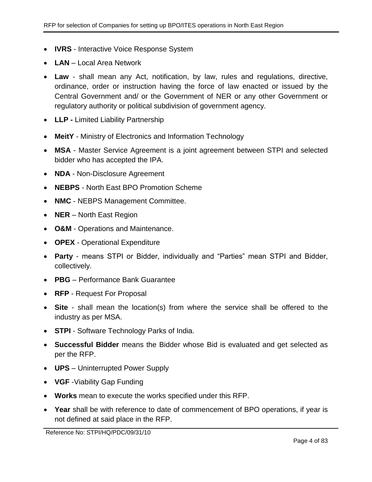- **IVRS** Interactive Voice Response System
- **LAN** Local Area Network
- **Law** shall mean any Act, notification, by law, rules and regulations, directive, ordinance, order or instruction having the force of law enacted or issued by the Central Government and/ or the Government of NER or any other Government or regulatory authority or political subdivision of government agency.
- **LLP -** Limited Liability Partnership
- **MeitY** Ministry of Electronics and Information Technology
- **MSA** Master Service Agreement is a joint agreement between STPI and selected bidder who has accepted the IPA.
- **NDA** Non-Disclosure Agreement
- **NEBPS** North East BPO Promotion Scheme
- **NMC** NEBPS Management Committee.
- **NER** North East Region
- **O&M** Operations and Maintenance.
- **OPEX** Operational Expenditure
- **Party** means STPI or Bidder, individually and "Parties" mean STPI and Bidder, collectively.
- **PBG** Performance Bank Guarantee
- **RFP** Request For Proposal
- **Site** shall mean the location(s) from where the service shall be offered to the industry as per MSA.
- **STPI** Software Technology Parks of India.
- **Successful Bidder** means the Bidder whose Bid is evaluated and get selected as per the RFP.
- **UPS** Uninterrupted Power Supply
- **VGF** -Viability Gap Funding
- **Works** mean to execute the works specified under this RFP.
- **Year** shall be with reference to date of commencement of BPO operations, if year is not defined at said place in the RFP.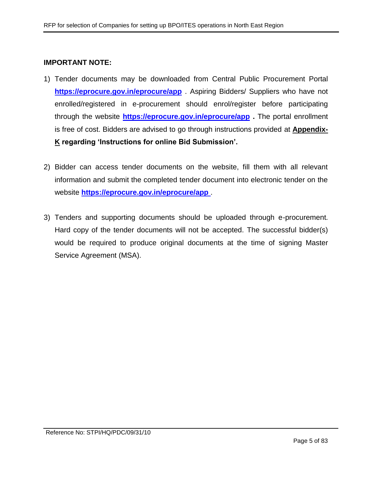#### **IMPORTANT NOTE:**

- 1) Tender documents may be downloaded from Central Public Procurement Portal **<https://eprocure.gov.in/eprocure/app>** . Aspiring Bidders/ Suppliers who have not enrolled/registered in e-procurement should enrol/register before participating through the website **<https://eprocure.gov.in/eprocure/app> .** The portal enrollment is free of cost. Bidders are advised to go through instructions provided at **[Appendix-](#page-77-1)[K](#page-77-1) regarding 'Instructions for online Bid Submission'.**
- 2) Bidder can access tender documents on the website, fill them with all relevant information and submit the completed tender document into electronic tender on the website **<https://eprocure.gov.in/eprocure/app>** .
- 3) Tenders and supporting documents should be uploaded through e-procurement. Hard copy of the tender documents will not be accepted. The successful bidder(s) would be required to produce original documents at the time of signing Master Service Agreement (MSA).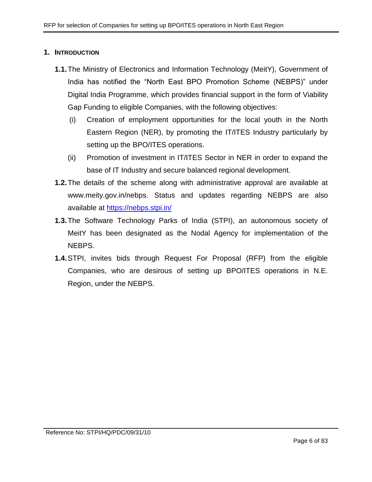#### <span id="page-5-0"></span>**1. INTRODUCTION**

- **1.1.**The Ministry of Electronics and Information Technology (MeitY), Government of India has notified the "North East BPO Promotion Scheme (NEBPS)" under Digital India Programme, which provides financial support in the form of Viability Gap Funding to eligible Companies, with the following objectives:
	- (i) Creation of employment opportunities for the local youth in the North Eastern Region (NER), by promoting the IT/ITES Industry particularly by setting up the BPO/ITES operations.
	- (ii) Promotion of investment in IT/ITES Sector in NER in order to expand the base of IT Industry and secure balanced regional development.
- **1.2.**The details of the scheme along with administrative approval are available at www.meity.gov.in/nebps. Status and updates regarding NEBPS are also available at [https://nebps.stpi.in/](https://ibps.stpi.in/)
- **1.3.**The Software Technology Parks of India (STPI), an autonomous society of MeitY has been designated as the Nodal Agency for implementation of the NEBPS.
- **1.4.**STPI, invites bids through Request For Proposal (RFP) from the eligible Companies, who are desirous of setting up BPO/ITES operations in N.E. Region, under the NEBPS.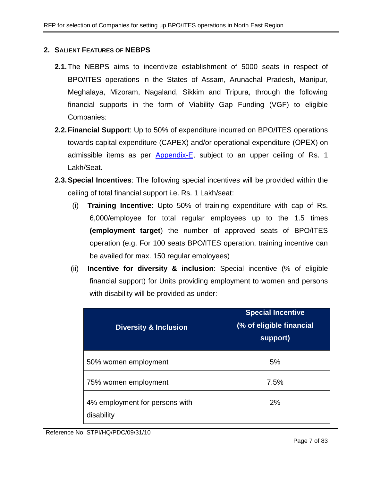## <span id="page-6-0"></span>**2. SALIENT FEATURES OF NEBPS**

- **2.1.**The NEBPS aims to incentivize establishment of 5000 seats in respect of BPO/ITES operations in the States of Assam, Arunachal Pradesh, Manipur, Meghalaya, Mizoram, Nagaland, Sikkim and Tripura, through the following financial supports in the form of Viability Gap Funding (VGF) to eligible Companies:
- **2.2.Financial Support**: Up to 50% of expenditure incurred on BPO/ITES operations towards capital expenditure (CAPEX) and/or operational expenditure (ОРЕХ) on admissible items as per [Appendix-E,](#page-54-0) subject to an upper ceiling of Rs. 1 Lakh/Seat.
- <span id="page-6-1"></span>**2.3.Special Incentives**: The following special incentives will be provided within the ceiling of total financial support i.e. Rs. 1 Lakh/seat:
	- (i) **Training Incentive**: Upto 50% of training expenditure with cap of Rs. 6,000/employee for total regular employees up to the 1.5 times **(employment target**) the number of approved seats of BPO/ITES operation (e.g. For 100 seats BPO/ITES operation, training incentive can be availed for max. 150 regular employees)
	- (ii) **Incentive for diversity & inclusion**: Special incentive (% of eligible financial support) for Units providing employment to women and persons with disability will be provided as under:

| <b>Diversity &amp; Inclusion</b>             | <b>Special Incentive</b><br>(% of eligible financial<br>support) |
|----------------------------------------------|------------------------------------------------------------------|
| 50% women employment                         | 5%                                                               |
| 75% women employment                         | 7.5%                                                             |
| 4% employment for persons with<br>disability | 2%                                                               |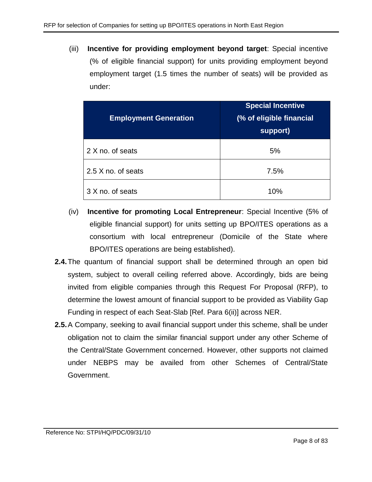(iii) **Incentive for providing employment beyond target**: Special incentive (% of eligible financial support) for units providing employment beyond employment target (1.5 times the number of seats) will be provided as under:

| <b>Employment Generation</b> | <b>Special Incentive</b><br>(% of eligible financial<br>support) |
|------------------------------|------------------------------------------------------------------|
| 2 X no. of seats             | 5%                                                               |
| 2.5 X no. of seats           | 7.5%                                                             |
| 3 X no. of seats             | 10%                                                              |

- (iv) **Incentive for promoting Local Entrepreneur**: Special Incentive (5% of eligible financial support) for units setting up BPO/ITES operations as a consortium with local entrepreneur (Domicile of the State where BPO/ITES operations are being established).
- **2.4.**The quantum of financial support shall be determined through an open bid system, subject to overall ceiling referred above. Accordingly, bids are being invited from eligible companies through this Request For Proposal (RFP), to determine the lowest amount of financial support to be provided as Viability Gap Funding in respect of each Seat-Slab [Ref. Para [6\(ii\)\]](#page-15-1) across NER.
- **2.5.**A Company, seeking to avail financial support under this scheme, shall be under obligation not to claim the similar financial support under any other Scheme of the Central/State Government concerned. However, other supports not claimed under NEBPS may be availed from other Schemes of Central/State Government.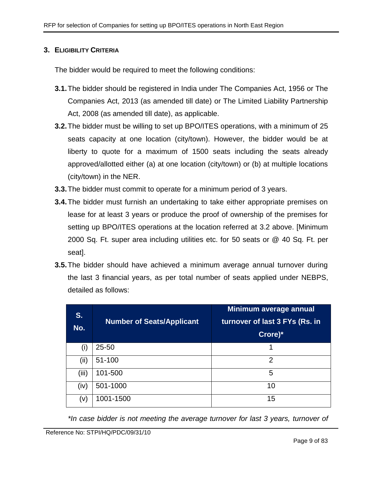#### <span id="page-8-0"></span>**3. ELIGIBILITY CRITERIA**

The bidder would be required to meet the following conditions:

- **3.1.**The bidder should be registered in India under The Companies Act, 1956 or The Companies Act, 2013 (as amended till date) or The Limited Liability Partnership Act, 2008 (as amended till date), as applicable.
- **3.2.**The bidder must be willing to set up BPO/ITES operations, with a minimum of 25 seats capacity at one location (city/town). However, the bidder would be at liberty to quote for a maximum of 1500 seats including the seats already approved/allotted either (a) at one location (city/town) or (b) at multiple locations (city/town) in the NER.
- **3.3.**The bidder must commit to operate for a minimum period of 3 years.
- **3.4.**The bidder must furnish an undertaking to take either appropriate premises on lease for at least 3 years or produce the proof of ownership of the premises for setting up BPO/ITES operations at the location referred at 3.2 above. [Minimum 2000 Sq. Ft. super area including utilities etc. for 50 seats or @ 40 Sq. Ft. per seat].
- **3.5.**The bidder should have achieved a minimum average annual turnover during the last 3 financial years, as per total number of seats applied under NEBPS, detailed as follows:

| S.<br>No.      | <b>Number of Seats/Applicant</b> | Minimum average annual<br>turnover of last 3 FYs (Rs. in<br>Crore)* |
|----------------|----------------------------------|---------------------------------------------------------------------|
| $\mathsf{(i)}$ | $25 - 50$                        | 1                                                                   |
| (iii)          | 51-100                           | 2                                                                   |
| (iii)          | 101-500                          | 5                                                                   |
| (iv)           | 501-1000                         | 10                                                                  |
| (V)            | 1001-1500                        | 15                                                                  |

*\*In case bidder is not meeting the average turnover for last 3 years, turnover of*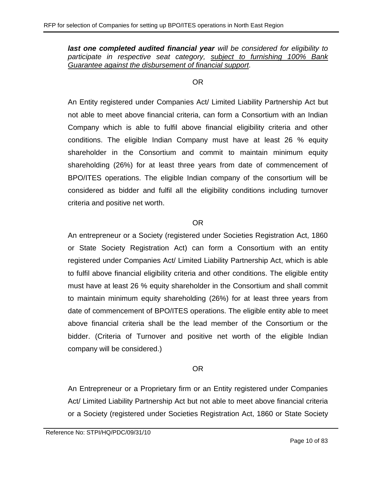*last one completed audited financial year will be considered for eligibility to participate in respective seat category, subject to furnishing 100% Bank Guarantee against the disbursement of financial support.*

#### OR

An Entity registered under Companies Act/ Limited Liability Partnership Act but not able to meet above financial criteria, can form a Consortium with an Indian Company which is able to fulfil above financial eligibility criteria and other conditions. The eligible Indian Company must have at least 26 % equity shareholder in the Consortium and commit to maintain minimum equity shareholding (26%) for at least three years from date of commencement of BPO/ITES operations. The eligible Indian company of the consortium will be considered as bidder and fulfil all the eligibility conditions including turnover criteria and positive net worth.

#### OR

An entrepreneur or a Society (registered under Societies Registration Act, 1860 or State Society Registration Act) can form a Consortium with an entity registered under Companies Act/ Limited Liability Partnership Act, which is able to fulfil above financial eligibility criteria and other conditions. The eligible entity must have at least 26 % equity shareholder in the Consortium and shall commit to maintain minimum equity shareholding (26%) for at least three years from date of commencement of BPO/ITES operations. The eligible entity able to meet above financial criteria shall be the lead member of the Consortium or the bidder. (Criteria of Turnover and positive net worth of the eligible Indian company will be considered.)

# OR

An Entrepreneur or a Proprietary firm or an Entity registered under Companies Act/ Limited Liability Partnership Act but not able to meet above financial criteria or a Society (registered under Societies Registration Act, 1860 or State Society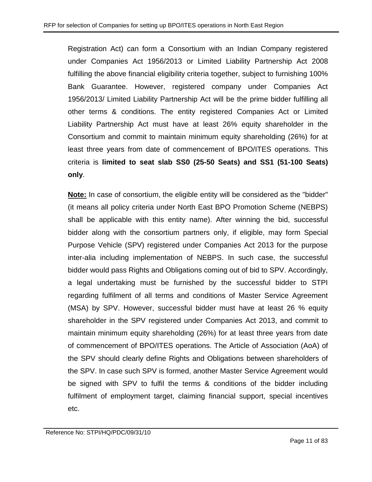Registration Act) can form a Consortium with an Indian Company registered under Companies Act 1956/2013 or Limited Liability Partnership Act 2008 fulfilling the above financial eligibility criteria together, subject to furnishing 100% Bank Guarantee. However, registered company under Companies Act 1956/2013/ Limited Liability Partnership Act will be the prime bidder fulfilling all other terms & conditions. The entity registered Companies Act or Limited Liability Partnership Act must have at least 26% equity shareholder in the Consortium and commit to maintain minimum equity shareholding (26%) for at least three years from date of commencement of BPO/ITES operations. This criteria is **limited to seat slab SS0 (25-50 Seats) and SS1 (51-100 Seats) only**.

**Note:** In case of consortium, the eligible entity will be considered as the "bidder" (it means all policy criteria under North East BPO Promotion Scheme (NEBPS) shall be applicable with this entity name). After winning the bid, successful bidder along with the consortium partners only, if eligible, may form Special Purpose Vehicle (SPV) registered under Companies Act 2013 for the purpose inter-alia including implementation of NEBPS. In such case, the successful bidder would pass Rights and Obligations coming out of bid to SPV. Accordingly, a legal undertaking must be furnished by the successful bidder to STPI regarding fulfilment of all terms and conditions of Master Service Agreement (MSA) by SPV. However, successful bidder must have at least 26 % equity shareholder in the SPV registered under Companies Act 2013, and commit to maintain minimum equity shareholding (26%) for at least three years from date of commencement of BPO/ITES operations. The Article of Association (AoA) of the SPV should clearly define Rights and Obligations between shareholders of the SPV. In case such SPV is formed, another Master Service Agreement would be signed with SPV to fulfil the terms & conditions of the bidder including fulfilment of employment target, claiming financial support, special incentives etc.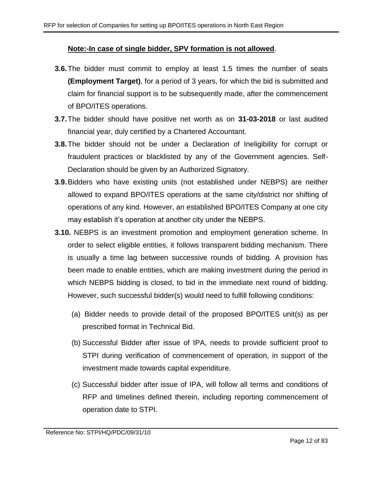#### **Note:-In case of single bidder, SPV formation is not allowed**.

- **3.6.**The bidder must commit to employ at least 1.5 times the number of seats **(Employment Target)**, for a period of 3 years, for which the bid is submitted and claim for financial support is to be subsequently made, after the commencement of BPO/ITES operations.
- **3.7.**The bidder should have positive net worth as on **31-03-2018** or last audited financial year, duly certified by a Chartered Accountant.
- **3.8.**The bidder should not be under a Declaration of Ineligibility for corrupt or fraudulent practices or blacklisted by any of the Government agencies. Self-Declaration should be given by an Authorized Signatory.
- **3.9.**Bidders who have existing units (not established under NEBPS) are neither allowed to expand BPO/ITES operations at the same city/district nor shifting of operations of any kind. However, an established BPO/ITES Company at one city may establish it's operation at another city under the NEBPS.
- <span id="page-11-0"></span>**3.10.** NEBPS is an investment promotion and employment generation scheme. In order to select eligible entities, it follows transparent bidding mechanism. There is usually a time lag between successive rounds of bidding. A provision has been made to enable entities, which are making investment during the period in which NEBPS bidding is closed, to bid in the immediate next round of bidding. However, such successful bidder(s) would need to fulfill following conditions:
	- (a) Bidder needs to provide detail of the proposed BPO/ITES unit(s) as per prescribed format in Technical Bid.
	- (b) Successful Bidder after issue of IPA, needs to provide sufficient proof to STPI during verification of commencement of operation, in support of the investment made towards capital expenditure.
	- (c) Successful bidder after issue of IPA, will follow all terms and conditions of RFP and timelines defined therein, including reporting commencement of operation date to STPI.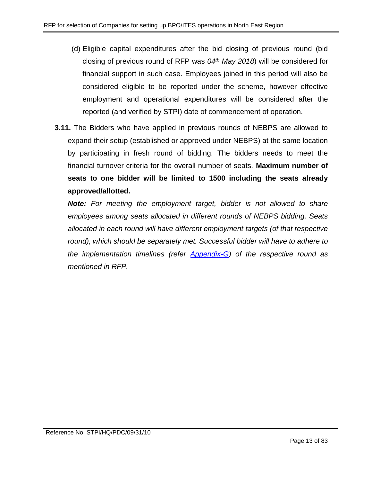- (d) Eligible capital expenditures after the bid closing of previous round (bid closing of previous round of RFP was *04th May 2018*) will be considered for financial support in such case. Employees joined in this period will also be considered eligible to be reported under the scheme, however effective employment and operational expenditures will be considered after the reported (and verified by STPI) date of commencement of operation.
- **3.11.** The Bidders who have applied in previous rounds of NEBPS are allowed to expand their setup (established or approved under NEBPS) at the same location by participating in fresh round of bidding. The bidders needs to meet the financial turnover criteria for the overall number of seats. **Maximum number of seats to one bidder will be limited to 1500 including the seats already approved/allotted.**

*Note: For meeting the employment target, bidder is not allowed to share employees among seats allocated in different rounds of NEBPS bidding. Seats allocated in each round will have different employment targets (of that respective*  round), which should be separately met. Successful bidder will have to adhere to *the implementation timelines (refer [Appendix-G\)](#page-56-0) of the respective round as mentioned in RFP.*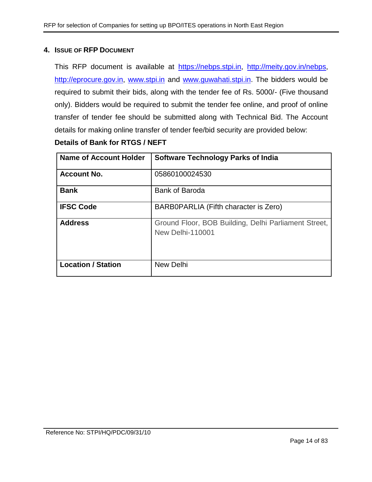#### <span id="page-13-0"></span>**4. ISSUE OF RFP DOCUMENT**

This RFP document is available at [https://nebps.stpi.in,](https://nebps.stpi.in/) [http://meity.gov.in/nebps,](http://meity.gov.in/nebps) [http://eprocure.gov.in,](http://eprocure.gov.in/) [www.stpi.in](http://www.stpi.in/) and [www.guwahati.stpi.in.](http://www.guwahati.stpi.in/) The bidders would be required to submit their bids, along with the tender fee of Rs. 5000/- (Five thousand only). Bidders would be required to submit the tender fee online, and proof of online transfer of tender fee should be submitted along with Technical Bid. The Account details for making online transfer of tender fee/bid security are provided below:

#### **Details of Bank for RTGS / NEFT**

| Name of Account Holder    | <b>Software Technology Parks of India</b>                                       |
|---------------------------|---------------------------------------------------------------------------------|
| <b>Account No.</b>        | 05860100024530                                                                  |
| <b>Bank</b>               | <b>Bank of Baroda</b>                                                           |
| <b>IFSC Code</b>          | BARB0PARLIA (Fifth character is Zero)                                           |
| <b>Address</b>            | Ground Floor, BOB Building, Delhi Parliament Street,<br><b>New Delhi-110001</b> |
| <b>Location / Station</b> | <b>New Delhi</b>                                                                |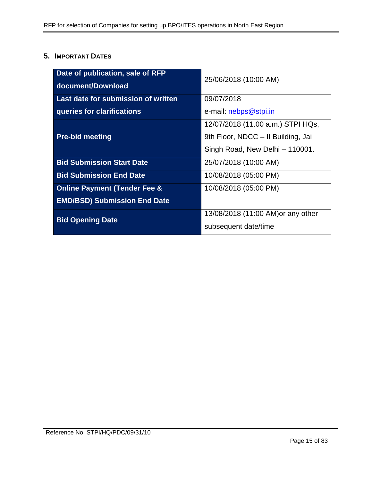# <span id="page-14-0"></span>**5. IMPORTANT DATES**

| Date of publication, sale of RFP<br>document/Download | 25/06/2018 (10:00 AM)              |  |
|-------------------------------------------------------|------------------------------------|--|
|                                                       |                                    |  |
| Last date for submission of written                   | 09/07/2018                         |  |
| queries for clarifications                            | e-mail: nebps@stpi.in              |  |
|                                                       | 12/07/2018 (11.00 a.m.) STPI HQs,  |  |
| <b>Pre-bid meeting</b>                                | 9th Floor, NDCC - Il Building, Jai |  |
|                                                       | Singh Road, New Delhi - 110001.    |  |
| <b>Bid Submission Start Date</b>                      | 25/07/2018 (10:00 AM)              |  |
| <b>Bid Submission End Date</b>                        | 10/08/2018 (05:00 PM)              |  |
| <b>Online Payment (Tender Fee &amp;</b>               | 10/08/2018 (05:00 PM)              |  |
| <b>EMD/BSD) Submission End Date</b>                   |                                    |  |
| <b>Bid Opening Date</b>                               | 13/08/2018 (11:00 AM) or any other |  |
|                                                       | subsequent date/time               |  |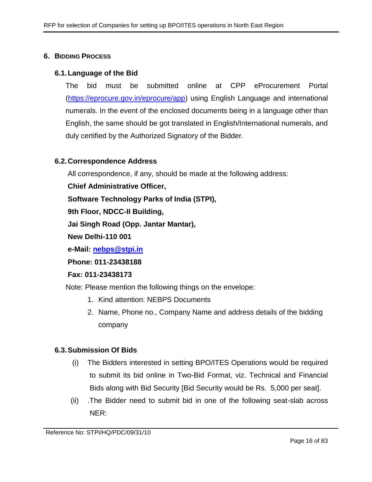#### <span id="page-15-0"></span>**6. BIDDING PROCESS**

#### **6.1.Language of the Bid**

The bid must be submitted online at CPP eProcurement Portal [\(https://eprocure.gov.in/eprocure/app\)](https://eprocure.gov.in/eprocure/app) using English Language and international numerals. In the event of the enclosed documents being in a language other than English, the same should be got translated in English/International numerals, and duly certified by the Authorized Signatory of the Bidder.

#### **6.2.Correspondence Address**

All correspondence, if any, should be made at the following address:

**Chief Administrative Officer,**

**Software Technology Parks of India (STPI),**

**9th Floor, NDCC-II Building,** 

**Jai Singh Road (Opp. Jantar Mantar),**

**New Delhi-110 001**

**e-Mail: [nebps@stpi.in](mailto:nebps@stpi.in)**

**Phone: 011-23438188**

#### **Fax: 011-23438173**

Note: Please mention the following things on the envelope:

- 1. Kind attention: NEBPS Documents
- 2. Name, Phone no., Company Name and address details of the bidding company

#### **6.3.Submission Of Bids**

- (i) The Bidders interested in setting BPO/ITES Operations would be required to submit its bid online in Two-Bid Format, viz. Technical and Financial Bids along with Bid Security [Bid Security would be Rs. 5,000 per seat].
- <span id="page-15-1"></span>(ii) .The Bidder need to submit bid in one of the following seat-slab across NER: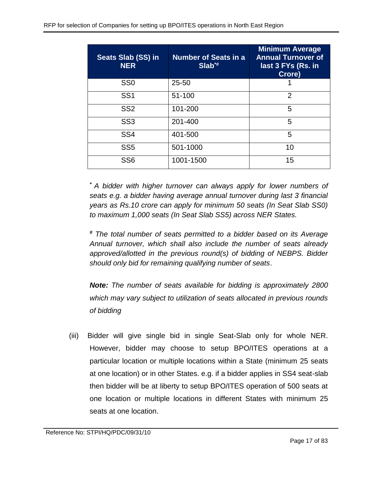| Seats Slab (SS) in<br><b>NER</b> | <b>Number of Seats in a</b><br>$Slab^*$ | <b>Minimum Average</b><br><b>Annual Turnover of</b><br>last 3 FYs (Rs. in<br>Crore) |
|----------------------------------|-----------------------------------------|-------------------------------------------------------------------------------------|
| SS <sub>0</sub>                  | $25 - 50$                               |                                                                                     |
| SS <sub>1</sub>                  | 51-100                                  | $\overline{2}$                                                                      |
| SS <sub>2</sub>                  | 101-200                                 | 5                                                                                   |
| SS <sub>3</sub>                  | 201-400                                 | 5                                                                                   |
| SS <sub>4</sub>                  | 401-500                                 | 5                                                                                   |
| SS <sub>5</sub>                  | 501-1000                                | 10                                                                                  |
| SS <sub>6</sub>                  | 1001-1500                               | 15                                                                                  |

*\* A bidder with higher turnover can always apply for lower numbers of seats e.g. a bidder having average annual turnover during last 3 financial years as Rs.10 crore can apply for minimum 50 seats (In Seat Slab SS0) to maximum 1,000 seats (In Seat Slab SS5) across NER States.*

*# The total number of seats permitted to a bidder based on its Average Annual turnover, which shall also include the number of seats already approved/allotted in the previous round(s) of bidding of NEBPS. Bidder should only bid for remaining qualifying number of seats*.

*Note: The number of seats available for bidding is approximately 2800 which may vary subject to utilization of seats allocated in previous rounds of bidding*

(iii) Bidder will give single bid in single Seat-Slab only for whole NER. However, bidder may choose to setup BPO/ITES operations at a particular location or multiple locations within a State (minimum 25 seats at one location) or in other States. e.g. if a bidder applies in SS4 seat-slab then bidder will be at liberty to setup BPO/ITES operation of 500 seats at one location or multiple locations in different States with minimum 25 seats at one location.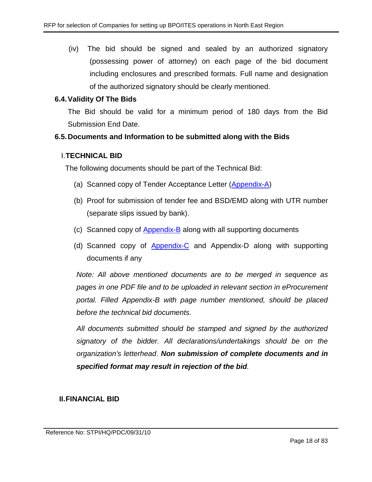(iv) The bid should be signed and sealed by an authorized signatory (possessing power of attorney) on each page of the bid document including enclosures and prescribed formats. Full name and designation of the authorized signatory should be clearly mentioned.

## **6.4.Validity Of The Bids**

The Bid should be valid for a minimum period of 180 days from the Bid Submission End Date.

## **6.5.Documents and Information to be submitted along with the Bids**

#### I.**TECHNICAL BID**

The following documents should be part of the Technical Bid:

- (a) Scanned copy of Tender Acceptance Letter [\(Appendix-A\)](#page-44-0)
- (b) Proof for submission of tender fee and BSD/EMD along with UTR number (separate slips issued by bank).
- (c) Scanned copy of [Appendix-B](#page-45-0) along with all supporting documents
- (d) Scanned copy of [Appendix-C](#page-52-0) and Appendix-D along with supporting documents if any

*Note: All above mentioned documents are to be merged in sequence as pages in one PDF file and to be uploaded in relevant section in eProcurement portal. Filled Appendix-B with page number mentioned, should be placed before the technical bid documents.* 

*All documents submitted should be stamped and signed by the authorized signatory of the bidder. All declarations/undertakings should be on the organization's letterhead*. *Non submission of complete documents and in specified format may result in rejection of the bid.*

# **II.FINANCIAL BID**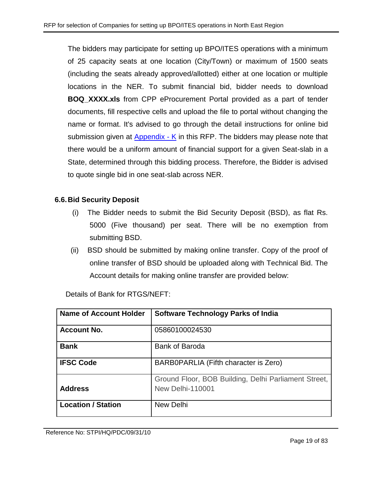The bidders may participate for setting up BPO/ITES operations with a minimum of 25 capacity seats at one location (City/Town) or maximum of 1500 seats (including the seats already approved/allotted) either at one location or multiple locations in the NER. To submit financial bid, bidder needs to download **BOQ\_XXXX.xls** from CPP eProcurement Portal provided as a part of tender documents, fill respective cells and upload the file to portal without changing the name or format. It's advised to go through the detail instructions for online bid submission given at [Appendix -](#page-77-1) K in this RFP. The bidders may please note that there would be a uniform amount of financial support for a given Seat-slab in a State, determined through this bidding process. Therefore, the Bidder is advised to quote single bid in one seat-slab across NER.

# **6.6.Bid Security Deposit**

- (i) The Bidder needs to submit the Bid Security Deposit (BSD), as flat Rs. 5000 (Five thousand) per seat. There will be no exemption from submitting BSD.
- (ii) BSD should be submitted by making online transfer. Copy of the proof of online transfer of BSD should be uploaded along with Technical Bid. The Account details for making online transfer are provided below:

| <b>Name of Account Holder</b> | <b>Software Technology Parks of India</b>                                       |
|-------------------------------|---------------------------------------------------------------------------------|
| <b>Account No.</b>            | 05860100024530                                                                  |
| <b>Bank</b>                   | <b>Bank of Baroda</b>                                                           |
| <b>IFSC Code</b>              | BARB0PARLIA (Fifth character is Zero)                                           |
| <b>Address</b>                | Ground Floor, BOB Building, Delhi Parliament Street,<br><b>New Delhi-110001</b> |
| <b>Location / Station</b>     | <b>New Delhi</b>                                                                |

Details of Bank for RTGS/NEFT: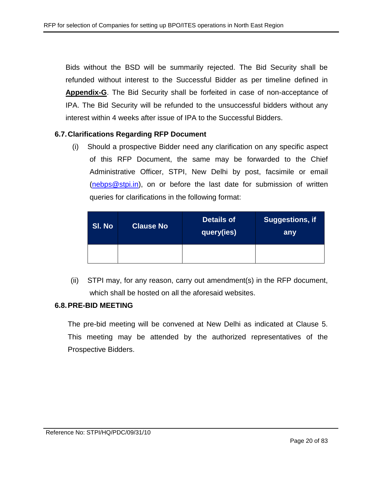Bids without the BSD will be summarily rejected. The Bid Security shall be refunded without interest to the Successful Bidder as per timeline defined in **Appendix-G**. The Bid Security shall be forfeited in case of non-acceptance of IPA. The Bid Security will be refunded to the unsuccessful bidders without any interest within 4 weeks after issue of IPA to the Successful Bidders.

#### **6.7.Clarifications Regarding RFP Document**

(i) Should a prospective Bidder need any clarification on any specific aspect of this RFP Document, the same may be forwarded to the Chief Administrative Officer, STPI, New Delhi by post, facsimile or email [\(nebps@stpi.in\)](mailto:nebps@stpi.in), on or before the last date for submission of written queries for clarifications in the following format:

| SI. No | <b>Clause No</b> | <b>Details of</b><br>query(ies) | Suggestions, if<br>any |
|--------|------------------|---------------------------------|------------------------|
|        |                  |                                 |                        |

(ii) STPI may, for any reason, carry out amendment(s) in the RFP document, which shall be hosted on all the aforesaid websites.

#### **6.8.PRE-BID MEETING**

The pre-bid meeting will be convened at New Delhi as indicated at Clause 5. This meeting may be attended by the authorized representatives of the Prospective Bidders.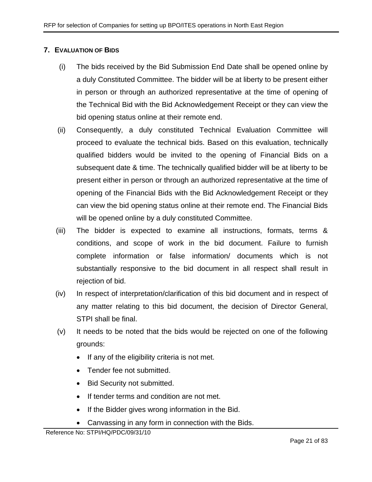# <span id="page-20-0"></span>**7. EVALUATION OF BIDS**

- (i) The bids received by the Bid Submission End Date shall be opened online by a duly Constituted Committee. The bidder will be at liberty to be present either in person or through an authorized representative at the time of opening of the Technical Bid with the Bid Acknowledgement Receipt or they can view the bid opening status online at their remote end.
- (ii) Consequently, a duly constituted Technical Evaluation Committee will proceed to evaluate the technical bids. Based on this evaluation, technically qualified bidders would be invited to the opening of Financial Bids on a subsequent date & time. The technically qualified bidder will be at liberty to be present either in person or through an authorized representative at the time of opening of the Financial Bids with the Bid Acknowledgement Receipt or they can view the bid opening status online at their remote end. The Financial Bids will be opened online by a duly constituted Committee.
- (iii) The bidder is expected to examine all instructions, formats, terms & conditions, and scope of work in the bid document. Failure to furnish complete information or false information/ documents which is not substantially responsive to the bid document in all respect shall result in rejection of bid.
- (iv) In respect of interpretation/clarification of this bid document and in respect of any matter relating to this bid document, the decision of Director General, STPI shall be final.
- (v) It needs to be noted that the bids would be rejected on one of the following grounds:
	- If any of the eligibility criteria is not met.
	- Tender fee not submitted.
	- Bid Security not submitted.
	- If tender terms and condition are not met.
	- If the Bidder gives wrong information in the Bid.
	- Canvassing in any form in connection with the Bids.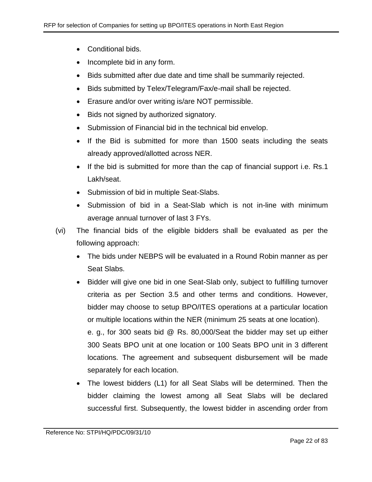- Conditional bids.
- Incomplete bid in any form.
- Bids submitted after due date and time shall be summarily rejected.
- Bids submitted by Telex/Telegram/Fax/e-mail shall be rejected.
- Erasure and/or over writing is/are NOT permissible.
- Bids not signed by authorized signatory.
- Submission of Financial bid in the technical bid envelop.
- If the Bid is submitted for more than 1500 seats including the seats already approved/allotted across NER.
- If the bid is submitted for more than the cap of financial support i.e. Rs.1 Lakh/seat.
- Submission of bid in multiple Seat-Slabs.
- Submission of bid in a Seat-Slab which is not in-line with minimum average annual turnover of last 3 FYs.
- (vi) The financial bids of the eligible bidders shall be evaluated as per the following approach:
	- The bids under NEBPS will be evaluated in a Round Robin manner as per Seat Slabs.
	- Bidder will give one bid in one Seat-Slab only, subject to fulfilling turnover criteria as per Section 3.5 and other terms and conditions. However, bidder may choose to setup BPO/ITES operations at a particular location or multiple locations within the NER (minimum 25 seats at one location). e. g., for 300 seats bid @ Rs. 80,000/Seat the bidder may set up either 300 Seats BPO unit at one location or 100 Seats BPO unit in 3 different locations. The agreement and subsequent disbursement will be made separately for each location.
	- The lowest bidders (L1) for all Seat Slabs will be determined. Then the bidder claiming the lowest among all Seat Slabs will be declared successful first. Subsequently, the lowest bidder in ascending order from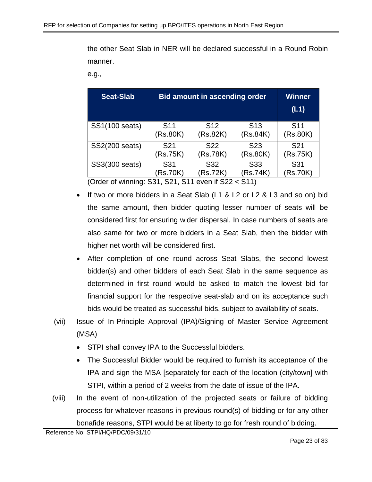the other Seat Slab in NER will be declared successful in a Round Robin manner.

e.g.,

| <b>Seat-Slab</b> | <b>Bid amount in ascending order</b> | <b>Winner</b><br>(L1)       |                 |                 |
|------------------|--------------------------------------|-----------------------------|-----------------|-----------------|
| SS1(100 seats)   | S <sub>11</sub>                      | S <sub>12</sub>             | S <sub>13</sub> | S <sub>11</sub> |
|                  | (Rs.80K)                             | (Rs.82K)                    | (Rs.84K)        | (Rs.80K)        |
| SS2(200 seats)   | S <sub>21</sub>                      | S <sub>22</sub>             | S <sub>23</sub> | S <sub>21</sub> |
|                  | (Rs.75K)                             | (Rs.78K)                    | (Rs.80K)        | (Rs.75K)        |
| SS3(300 seats)   | S31<br>(Rs.70K)<br>---               | S <sub>31</sub><br>(Rs.70K) |                 |                 |

(Order of winning: S31, S21, S11 even if S22 < S11)

- If two or more bidders in a Seat Slab (L1 & L2 or L2 & L3 and so on) bid the same amount, then bidder quoting lesser number of seats will be considered first for ensuring wider dispersal. In case numbers of seats are also same for two or more bidders in a Seat Slab, then the bidder with higher net worth will be considered first.
- After completion of one round across Seat Slabs, the second lowest bidder(s) and other bidders of each Seat Slab in the same sequence as determined in first round would be asked to match the lowest bid for financial support for the respective seat-slab and on its acceptance such bids would be treated as successful bids, subject to availability of seats.
- (vii) Issue of In-Principle Approval (IPA)/Signing of Master Service Agreement (MSA)
	- STPI shall convey IPA to the Successful bidders.
	- The Successful Bidder would be required to furnish its acceptance of the IPA and sign the MSA [separately for each of the location (city/town] with STPI, within a period of 2 weeks from the date of issue of the IPA.
- (viii) In the event of non-utilization of the projected seats or failure of bidding process for whatever reasons in previous round(s) of bidding or for any other bonafide reasons, STPI would be at liberty to go for fresh round of bidding.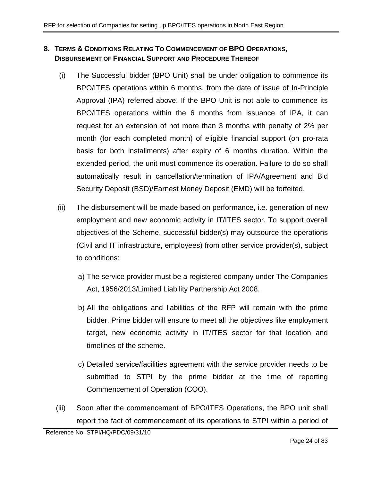# <span id="page-23-0"></span>**8. TERMS & CONDITIONS RELATING TO COMMENCEMENT OF BPO OPERATIONS, DISBURSEMENT OF FINANCIAL SUPPORT AND PROCEDURE THEREOF**

- <span id="page-23-2"></span>(i) The Successful bidder (BPO Unit) shall be under obligation to commence its BPO/ITES operations within 6 months, from the date of issue of In-Principle Approval (IPA) referred above. If the BPO Unit is not able to commence its BPO/ITES operations within the 6 months from issuance of IPA, it can request for an extension of not more than 3 months with penalty of 2% per month (for each completed month) of eligible financial support (on pro-rata basis for both installments) after expiry of 6 months duration. Within the extended period, the unit must commence its operation. Failure to do so shall automatically result in cancellation/termination of IPA/Agreement and Bid Security Deposit (BSD)/Earnest Money Deposit (EMD) will be forfeited.
- (ii) The disbursement will be made based on performance, i.e. generation of new employment and new economic activity in IT/ITES sector. To support overall objectives of the Scheme, successful bidder(s) may outsource the operations (Civil and IT infrastructure, employees) from other service provider(s), subject to conditions:
	- a) The service provider must be a registered company under The Companies Act, 1956/2013/Limited Liability Partnership Act 2008.
	- b) All the obligations and liabilities of the RFP will remain with the prime bidder. Prime bidder will ensure to meet all the objectives like employment target, new economic activity in IT/ITES sector for that location and timelines of the scheme.
	- c) Detailed service/facilities agreement with the service provider needs to be submitted to STPI by the prime bidder at the time of reporting Commencement of Operation (COO).
- <span id="page-23-1"></span>(iii) Soon after the commencement of BPO/ITES Operations, the BPO unit shall report the fact of commencement of its operations to STPI within a period of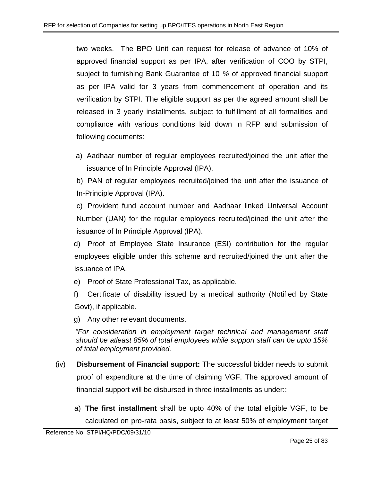two weeks. The BPO Unit can request for release of advance of 10% of approved financial support as per IPA, after verification of COO by STPI, subject to furnishing Bank Guarantee of 10 *%* of approved financial support as per IPA valid for 3 years from commencement of operation and its verification by STPI. The eligible support as per the agreed amount shall be released in 3 yearly installments, subject to fulfillment of all formalities and compliance with various conditions laid down in RFP and submission of following documents:

a) Aadhaar number of regular employees recruited/joined the unit after the issuance of In Principle Approval (IPA).

b) PAN of regular employees recruited/joined the unit after the issuance of In-Principle Approval (IPA).

c) Provident fund account number and Aadhaar linked Universal Account Number (UAN) for the regular employees recruited/joined the unit after the issuance of In Principle Approval (IPA).

d) Proof of Employee State Insurance (ESI) contribution for the regular employees eligible under this scheme and recruited/joined the unit after the issuance of IPA.

e) Proof of State Professional Tax, as applicable.

f) Certificate of disability issued by a medical authority (Notified by State Govt), if applicable.

g) Any other relevant documents.

*\*For consideration in employment target technical and management staff should be atleast 85% of total employees while support staff can be upto 15% of total employment provided.*

- (iv) **Disbursement of Financial support:** The successful bidder needs to submit proof of expenditure at the time of claiming VGF. The approved amount of financial support will be disbursed in three installments as under::
	- a) **The first installment** shall be upto 40% of the total eligible VGF, to be calculated on pro-rata basis, subject to at least 50% of employment target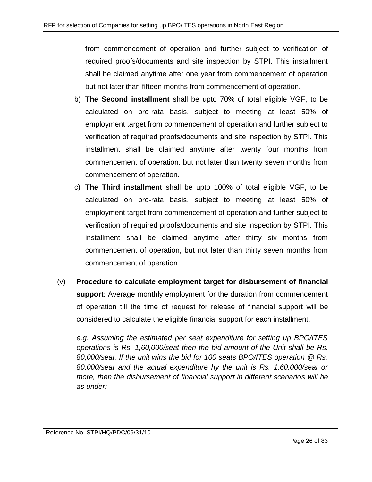from commencement of operation and further subject to verification of required proofs/documents and site inspection by STPI. This installment shall be claimed anytime after one year from commencement of operation but not later than fifteen months from commencement of operation.

- b) **The Second installment** shall be upto 70% of total eligible VGF, to be calculated on pro-rata basis, subject to meeting at least 50% of employment target from commencement of operation and further subject to verification of required proofs/documents and site inspection by STPI. This installment shall be claimed anytime after twenty four months from commencement of operation, but not later than twenty seven months from commencement of operation.
- c) **The Third installment** shall be upto 100% of total eligible VGF, to be calculated on pro-rata basis, subject to meeting at least 50% of employment target from commencement of operation and further subject to verification of required proofs/documents and site inspection by STPI. This installment shall be claimed anytime after thirty six months from commencement of operation, but not later than thirty seven months from commencement of operation
- (v) **Procedure to calculate employment target for disbursement of financial support**: Average monthly employment for the duration from commencement of operation till the time of request for release of financial support will be considered to calculate the eligible financial support for each installment.

*e.g. Assuming the estimated per seat expenditure for setting up BPO/ITES operations is Rs. 1,60,000/seat then the bid amount of the Unit shall be Rs. 80,000/seat. If the unit wins the bid for 100 seats BPO/ITES operation @ Rs. 80,000/seat and the actual expenditure hy the unit is Rs. 1,60,000/seat or more, then the disbursement of financial support in different scenarios will be as under:*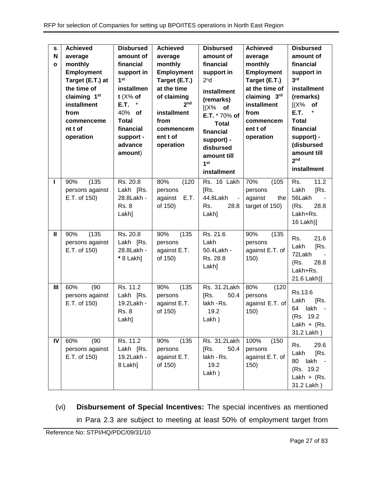| S.<br>N<br>$\mathbf{o}$ | <b>Achieved</b><br>average<br>monthly<br><b>Employment</b><br>Target (E.T.) at<br>the time of<br>claiming 1 <sup>st</sup><br>installment<br>from<br>commenceme<br>nt t of<br>operation | <b>Disbursed</b><br>amount of<br>financial<br>support in<br>1 <sup>st</sup><br>installmen<br>$t$ (X% of<br>E.T.<br>$\ast$<br>40% of<br><b>Total</b><br>financial<br>support -<br>advance<br>amount) | <b>Achieved</b><br>average<br>monthly<br><b>Employment</b><br>Target (E.T.)<br>at the time<br>of claiming<br>2 <sub>nd</sub><br>installment<br>from<br>commencem<br>ent t of<br>operation | <b>Disbursed</b><br>amount of<br>financial<br>support in<br>2 <sup>n</sup> d<br>installment<br>(remarks)<br>$[(X\%$ of<br>E.T. * 70% of<br><b>Total</b><br>financial<br>support) -<br>disbursed<br>amount till<br>1 <sup>st</sup><br>installment | <b>Achieved</b><br>average<br>monthly<br><b>Employment</b><br>Target (E.T.)<br>at the time of<br>claiming 3rd<br>installment<br>from<br>commencem<br>ent t of<br>operation | <b>Disbursed</b><br>amount of<br>financial<br>support in<br>3 <sup>rd</sup><br><b>installment</b><br>(remarks)<br>(X%<br>of<br>E.T.<br><b>Total</b><br>financial<br>support) -<br>(disbursed<br>amount till<br>2 <sub>nd</sub><br><b>installment</b> |
|-------------------------|----------------------------------------------------------------------------------------------------------------------------------------------------------------------------------------|-----------------------------------------------------------------------------------------------------------------------------------------------------------------------------------------------------|-------------------------------------------------------------------------------------------------------------------------------------------------------------------------------------------|--------------------------------------------------------------------------------------------------------------------------------------------------------------------------------------------------------------------------------------------------|----------------------------------------------------------------------------------------------------------------------------------------------------------------------------|------------------------------------------------------------------------------------------------------------------------------------------------------------------------------------------------------------------------------------------------------|
| ı                       | (135)<br>90%<br>persons against<br>E.T. of 150)                                                                                                                                        | Rs. 20.8<br>Lakh [Rs.<br>28.8Lakh -<br><b>Rs. 8</b><br>Lakh]                                                                                                                                        | 80%<br>(120)<br>persons<br>E.T.<br>against<br>of 150)                                                                                                                                     | Rs. 16 Lakh<br>[Rs.<br>44.8Lakh<br>$\blacksquare$<br>Rs.<br>28.8<br>Lakh]                                                                                                                                                                        | 70%<br>(105)<br>persons<br>against<br>the<br>target of 150)                                                                                                                | 11.2<br>Rs.<br>Lakh<br>[Rs.<br>56Lakh<br>28.8<br>(Rs.<br>Lakh+Rs.<br>16 Lakh)]                                                                                                                                                                       |
| $\mathbf{I}$            | (135)<br>90%<br>persons against<br>E.T. of 150)                                                                                                                                        | Rs. 20.8<br>Lakh [Rs.<br>28.8Lakh -<br>* 8 Lakh]                                                                                                                                                    | (135)<br>90%<br>persons<br>against E.T.<br>of 150)                                                                                                                                        | Rs. 21.6<br>Lakh<br>50.4Lakh -<br>Rs. 28.8<br>Lakh]                                                                                                                                                                                              | 90%<br>(135)<br>persons<br>against E.T. of<br>150)                                                                                                                         | 21.6<br>Rs.<br>[Rs.<br>Lakh<br>72Lakh<br>(Rs.<br>28.8<br>Lakh+Rs.<br>21.6 Lakh)]                                                                                                                                                                     |
| Ш                       | 60%<br>(90)<br>persons against<br>E.T. of 150)                                                                                                                                         | Rs. 11.2<br>Lakh [Rs.<br>19.2Lakh -<br><b>Rs. 8</b><br>Lakh]                                                                                                                                        | (135)<br>90%<br>persons<br>against E.T.<br>of 150)                                                                                                                                        | Rs. 31.2Lakh<br>50.4<br>[Rs.<br>lakh - Rs.<br>19.2<br>Lakh)                                                                                                                                                                                      | 80%<br>(120)<br>persons<br>against E.T. of<br>150)                                                                                                                         | Rs.13.6<br>Lakh<br>[Rs.<br>lakh<br>64<br>(Rs. 19.2)<br>Lakh + $(Rs.$<br>31.2 Lakh)                                                                                                                                                                   |
| IV                      | 60%<br>(90)<br>persons against<br>E.T. of 150)                                                                                                                                         | Rs. 11.2<br>Lakh [Rs.<br>19.2Lakh -<br>8 Lakh]                                                                                                                                                      | (135)<br>90%<br>persons<br>against E.T.<br>of 150)                                                                                                                                        | Rs. 31.2Lakh<br>[Rs.<br>50.4<br>lakh - Rs.<br>19.2<br>Lakh)                                                                                                                                                                                      | 100%<br>(150)<br>persons<br>against E.T. of<br>150)                                                                                                                        | 29.6<br>Rs.<br>[Rs.<br>Lakh<br>80<br>lakh -<br>(Rs. 19.2)<br>Lakh + $(Rs.$<br>31.2 Lakh)                                                                                                                                                             |

(vi) **Disbursement of Special Incentives:** The special incentives as mentioned in Para [2.3](#page-6-1) are subject to meeting at least 50% of employment target from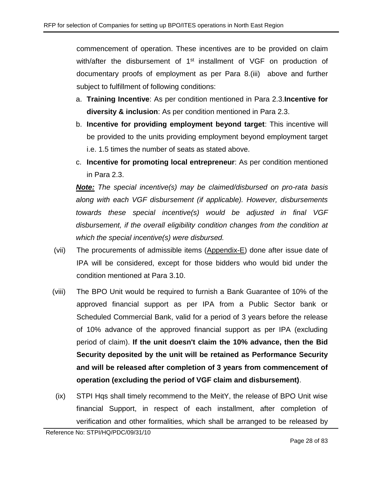commencement of operation. These incentives are to be provided on claim with/after the disbursement of 1<sup>st</sup> installment of VGF on production of documentary proofs of employment as per Para 8[.\(iii\)](#page-23-1) above and further subject to fulfillment of following conditions:

- a. **Training Incentive**: As per condition mentioned in Para [2.3.](#page-6-1)**Incentive for diversity & inclusion**: As per condition mentioned in Para [2.3.](#page-6-1)
- b. **Incentive for providing employment beyond target**: This incentive will be provided to the units providing employment beyond employment target i.e. 1.5 times the number of seats as stated above.
- c. **Incentive for promoting local entrepreneur**: As per condition mentioned in Para [2.3.](#page-6-1)

*Note: The special incentive(s) may be claimed/disbursed on pro-rata basis along with each VGF disbursement (if applicable). However, disbursements towards these special incentive(s) would be adjusted in final VGF disbursement, if the overall eligibility condition changes from the condition at which the special incentive(s) were disbursed.*

- (vii) The procurements of admissible items [\(Appendix-E\)](#page-54-0) done after issue date of IPA will be considered, except for those bidders who would bid under the condition mentioned at Para [3.10.](#page-11-0)
- (viii) The BPO Unit would be required to furnish a Bank Guarantee of 10% of the approved financial support as per IPA from a Public Sector bank or Scheduled Commercial Bank, valid for a period of 3 years before the release of 10% advance of the approved financial support as per IPA (excluding period of claim). **If the unit doesn't claim the 10% advance, then the Bid Security deposited by the unit will be retained as Performance Security and will be released after completion of 3 years from commencement of operation (excluding the period of VGF claim and disbursement)**.
- (ix) STPI Hqs shall timely recommend to the MeitY, the release of BPO Unit wise financial Support, in respect of each installment, after completion of verification and other formalities, which shall be arranged to be released by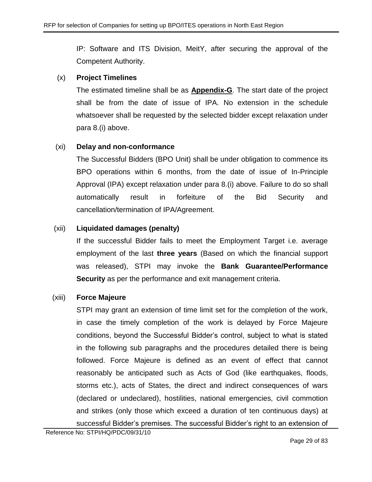IP: Software and ITS Division, MeitY, after securing the approval of the Competent Authority.

# (x) **Project Timelines**

The estimated timeline shall be as **[Appendix-G](#page-56-0)**. The start date of the project shall be from the date of issue of IPA. No extension in the schedule whatsoever shall be requested by the selected bidder except relaxation under para 8[.\(i\)](#page-23-2) above.

# (xi) **Delay and non-conformance**

The Successful Bidders (BPO Unit) shall be under obligation to commence its BPO operations within 6 months, from the date of issue of In-Principle Approval (IPA) except relaxation under para 8[.\(i\)](#page-23-2) above. Failure to do so shall automatically result in forfeiture of the Bid Security and cancellation/termination of IPA/Agreement.

# (xii) **Liquidated damages (penalty)**

If the successful Bidder fails to meet the Employment Target i.e. average employment of the last **three years** (Based on which the financial support was released), STPI may invoke the **Bank Guarantee/Performance Security** as per the performance and exit management criteria.

# (xiii) **Force Majeure**

STPI may grant an extension of time limit set for the completion of the work, in case the timely completion of the work is delayed by Force Majeure conditions, beyond the Successful Bidder's control, subject to what is stated in the following sub paragraphs and the procedures detailed there is being followed. Force Majeure is defined as an event of effect that cannot reasonably be anticipated such as Acts of God (like earthquakes, floods, storms etc.), acts of States, the direct and indirect consequences of wars (declared or undeclared), hostilities, national emergencies, civil commotion and strikes (only those which exceed a duration of ten continuous days) at successful Bidder's premises. The successful Bidder's right to an extension of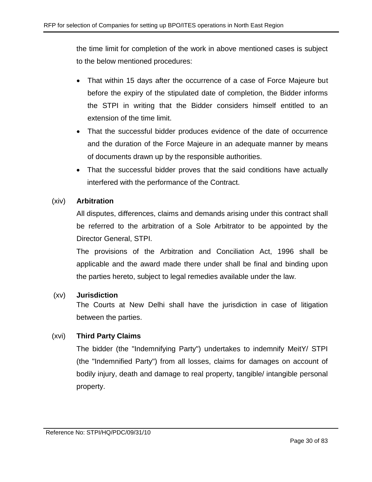the time limit for completion of the work in above mentioned cases is subject to the below mentioned procedures:

- That within 15 days after the occurrence of a case of Force Majeure but before the expiry of the stipulated date of completion, the Bidder informs the STPI in writing that the Bidder considers himself entitled to an extension of the time limit.
- That the successful bidder produces evidence of the date of occurrence and the duration of the Force Majeure in an adequate manner by means of documents drawn up by the responsible authorities.
- That the successful bidder proves that the said conditions have actually interfered with the performance of the Contract.

# (xiv) **Arbitration**

All disputes, differences, claims and demands arising under this contract shall be referred to the arbitration of a Sole Arbitrator to be appointed by the Director General, STPI.

The provisions of the Arbitration and Conciliation Act, 1996 shall be applicable and the award made there under shall be final and binding upon the parties hereto, subject to legal remedies available under the law.

# (xv) **Jurisdiction**

The Courts at New Delhi shall have the jurisdiction in case of litigation between the parties.

# (xvi) **Third Party Claims**

The bidder (the "Indemnifying Party") undertakes to indemnify MeitY/ STPI (the "Indemnified Party") from all losses, claims for damages on account of bodily injury, death and damage to real property, tangible/ intangible personal property.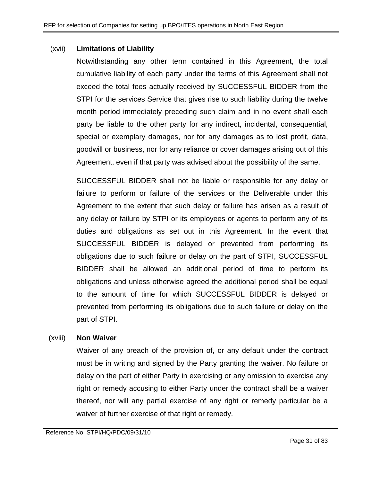#### (xvii) **Limitations of Liability**

Notwithstanding any other term contained in this Agreement, the total cumulative liability of each party under the terms of this Agreement shall not exceed the total fees actually received by SUCCESSFUL BIDDER from the STPI for the services Service that gives rise to such liability during the twelve month period immediately preceding such claim and in no event shall each party be liable to the other party for any indirect, incidental, consequential, special or exemplary damages, nor for any damages as to lost profit, data, goodwill or business, nor for any reliance or cover damages arising out of this Agreement, even if that party was advised about the possibility of the same.

SUCCESSFUL BIDDER shall not be liable or responsible for any delay or failure to perform or failure of the services or the Deliverable under this Agreement to the extent that such delay or failure has arisen as a result of any delay or failure by STPI or its employees or agents to perform any of its duties and obligations as set out in this Agreement. In the event that SUCCESSFUL BIDDER is delayed or prevented from performing its obligations due to such failure or delay on the part of STPI, SUCCESSFUL BIDDER shall be allowed an additional period of time to perform its obligations and unless otherwise agreed the additional period shall be equal to the amount of time for which SUCCESSFUL BIDDER is delayed or prevented from performing its obligations due to such failure or delay on the part of STPI.

#### (xviii) **Non Waiver**

Waiver of any breach of the provision of, or any default under the contract must be in writing and signed by the Party granting the waiver. No failure or delay on the part of either Party in exercising or any omission to exercise any right or remedy accusing to either Party under the contract shall be a waiver thereof, nor will any partial exercise of any right or remedy particular be a waiver of further exercise of that right or remedy.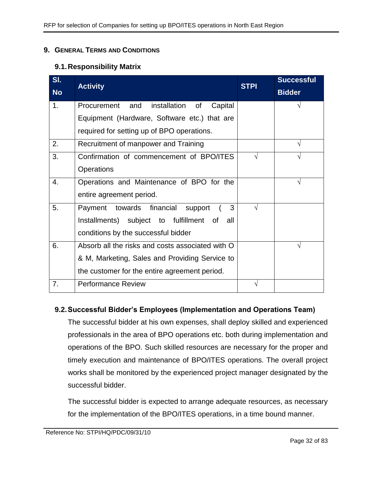#### <span id="page-31-0"></span>**9. GENERAL TERMS AND CONDITIONS**

#### **9.1.Responsibility Matrix**

| SI.            | <b>Activity</b>                                  | <b>STPI</b> | <b>Successful</b> |
|----------------|--------------------------------------------------|-------------|-------------------|
| <b>No</b>      |                                                  |             | <b>Bidder</b>     |
| 1 <sub>1</sub> | installation of<br>Procurement and<br>Capital    |             |                   |
|                | Equipment (Hardware, Software etc.) that are     |             |                   |
|                | required for setting up of BPO operations.       |             |                   |
| 2.             | Recruitment of manpower and Training             |             |                   |
| 3.             | Confirmation of commencement of BPO/ITES         |             |                   |
|                | Operations                                       |             |                   |
| 4.             | Operations and Maintenance of BPO for the        |             | V                 |
|                | entire agreement period.                         |             |                   |
| 5.             | towards financial<br>3<br>Payment<br>support     | N           |                   |
|                | Installments) subject to fulfillment of<br>all   |             |                   |
|                | conditions by the successful bidder              |             |                   |
| 6.             | Absorb all the risks and costs associated with O |             |                   |
|                | & M, Marketing, Sales and Providing Service to   |             |                   |
|                | the customer for the entire agreement period.    |             |                   |
| 7.             | <b>Performance Review</b>                        |             |                   |

# **9.2.Successful Bidder's Employees (Implementation and Operations Team)**

The successful bidder at his own expenses, shall deploy skilled and experienced professionals in the area of BPO operations etc. both during implementation and operations of the BPO. Such skilled resources are necessary for the proper and timely execution and maintenance of BPO/ITES operations. The overall project works shall be monitored by the experienced project manager designated by the successful bidder.

The successful bidder is expected to arrange adequate resources, as necessary for the implementation of the BPO/ITES operations, in a time bound manner.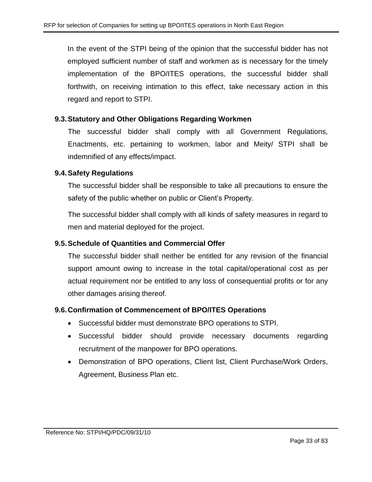In the event of the STPI being of the opinion that the successful bidder has not employed sufficient number of staff and workmen as is necessary for the timely implementation of the BPO/ITES operations, the successful bidder shall forthwith, on receiving intimation to this effect, take necessary action in this regard and report to STPI.

## **9.3.Statutory and Other Obligations Regarding Workmen**

The successful bidder shall comply with all Government Regulations, Enactments, etc. pertaining to workmen, labor and Meity/ STPI shall be indemnified of any effects/impact.

## **9.4.Safety Regulations**

The successful bidder shall be responsible to take all precautions to ensure the safety of the public whether on public or Client's Property.

The successful bidder shall comply with all kinds of safety measures in regard to men and material deployed for the project.

# **9.5.Schedule of Quantities and Commercial Offer**

The successful bidder shall neither be entitled for any revision of the financial support amount owing to increase in the total capital/operational cost as per actual requirement nor be entitled to any loss of consequential profits or for any other damages arising thereof.

#### **9.6.Confirmation of Commencement of BPO/ITES Operations**

- Successful bidder must demonstrate BPO operations to STPI.
- Successful bidder should provide necessary documents regarding recruitment of the manpower for BPO operations.
- Demonstration of BPO operations, Client list, Client Purchase/Work Orders, Agreement, Business Plan etc.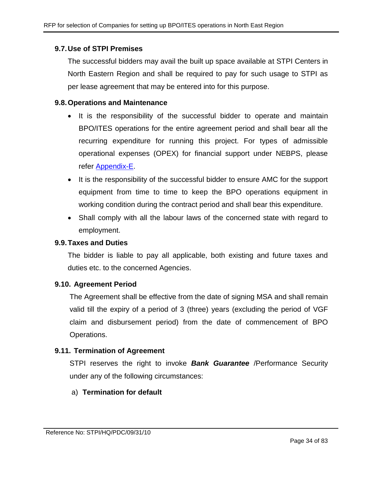## **9.7.Use of STPI Premises**

The successful bidders may avail the built up space available at STPI Centers in North Eastern Region and shall be required to pay for such usage to STPI as per lease agreement that may be entered into for this purpose.

#### **9.8.Operations and Maintenance**

- It is the responsibility of the successful bidder to operate and maintain BPO/ITES operations for the entire agreement period and shall bear all the recurring expenditure for running this project. For types of admissible operational expenses (OPEX) for financial support under NEBPS, please refer [Appendix-E.](#page-54-0)
- It is the responsibility of the successful bidder to ensure AMC for the support equipment from time to time to keep the BPO operations equipment in working condition during the contract period and shall bear this expenditure.
- Shall comply with all the labour laws of the concerned state with regard to employment.

#### **9.9.Taxes and Duties**

The bidder is liable to pay all applicable, both existing and future taxes and duties etc. to the concerned Agencies.

#### **9.10. Agreement Period**

The Agreement shall be effective from the date of signing MSA and shall remain valid till the expiry of a period of 3 (three) years (excluding the period of VGF claim and disbursement period) from the date of commencement of BPO Operations.

# **9.11. Termination of Agreement**

STPI reserves the right to invoke *Bank Guarantee* /Performance Security under any of the following circumstances:

# a) **Termination for default**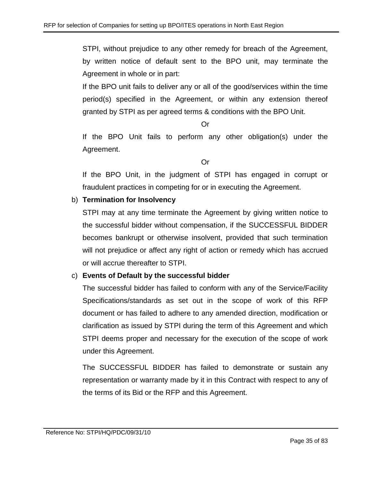STPI, without prejudice to any other remedy for breach of the Agreement, by written notice of default sent to the BPO unit, may terminate the Agreement in whole or in part:

If the BPO unit fails to deliver any or all of the good/services within the time period(s) specified in the Agreement, or within any extension thereof granted by STPI as per agreed terms & conditions with the BPO Unit.

Or

If the BPO Unit fails to perform any other obligation(s) under the Agreement.

Or

If the BPO Unit, in the judgment of STPI has engaged in corrupt or fraudulent practices in competing for or in executing the Agreement.

# b) **Termination for Insolvency**

STPI may at any time terminate the Agreement by giving written notice to the successful bidder without compensation, if the SUCCESSFUL BIDDER becomes bankrupt or otherwise insolvent, provided that such termination will not prejudice or affect any right of action or remedy which has accrued or will accrue thereafter to STPI.

# c) **Events of Default by the successful bidder**

The successful bidder has failed to conform with any of the Service/Facility Specifications/standards as set out in the scope of work of this RFP document or has failed to adhere to any amended direction, modification or clarification as issued by STPI during the term of this Agreement and which STPI deems proper and necessary for the execution of the scope of work under this Agreement.

The SUCCESSFUL BIDDER has failed to demonstrate or sustain any representation or warranty made by it in this Contract with respect to any of the terms of its Bid or the RFP and this Agreement.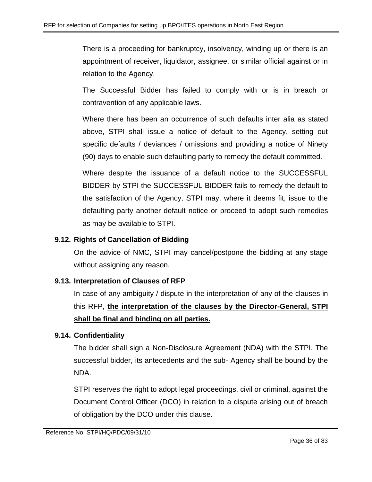There is a proceeding for bankruptcy, insolvency, winding up or there is an appointment of receiver, liquidator, assignee, or similar official against or in relation to the Agency.

The Successful Bidder has failed to comply with or is in breach or contravention of any applicable laws.

Where there has been an occurrence of such defaults inter alia as stated above, STPI shall issue a notice of default to the Agency, setting out specific defaults / deviances / omissions and providing a notice of Ninety (90) days to enable such defaulting party to remedy the default committed.

Where despite the issuance of a default notice to the SUCCESSFUL BIDDER by STPI the SUCCESSFUL BIDDER fails to remedy the default to the satisfaction of the Agency, STPI may, where it deems fit, issue to the defaulting party another default notice or proceed to adopt such remedies as may be available to STPI.

# **9.12. Rights of Cancellation of Bidding**

On the advice of NMC, STPI may cancel/postpone the bidding at any stage without assigning any reason.

# **9.13. Interpretation of Clauses of RFP**

In case of any ambiguity / dispute in the interpretation of any of the clauses in this RFP, **the interpretation of the clauses by the Director-General, STPI shall be final and binding on all parties.**

# **9.14. Confidentiality**

The bidder shall sign a Non-Disclosure Agreement (NDA) with the STPI. The successful bidder, its antecedents and the sub- Agency shall be bound by the NDA.

STPI reserves the right to adopt legal proceedings, civil or criminal, against the Document Control Officer (DCO) in relation to a dispute arising out of breach of obligation by the DCO under this clause.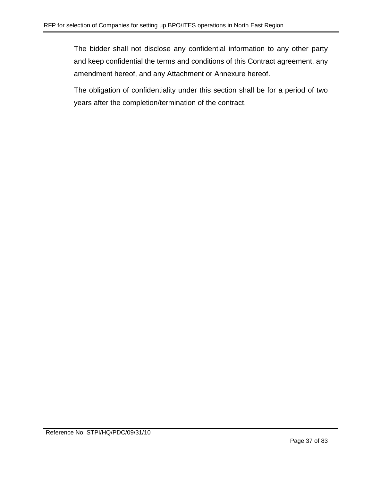The bidder shall not disclose any confidential information to any other party and keep confidential the terms and conditions of this Contract agreement, any amendment hereof, and any Attachment or Annexure hereof.

The obligation of confidentiality under this section shall be for a period of two years after the completion/termination of the contract.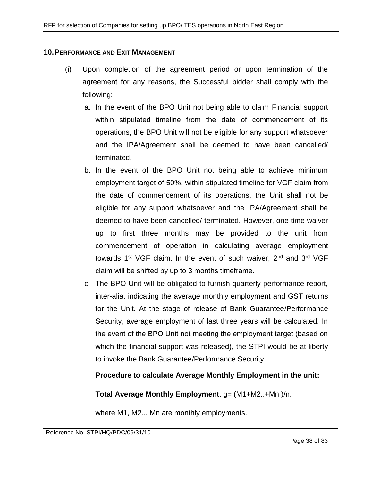#### **10.PERFORMANCE AND EXIT MANAGEMENT**

- (i) Upon completion of the agreement period or upon termination of the agreement for any reasons, the Successful bidder shall comply with the following:
	- a. In the event of the BPO Unit not being able to claim Financial support within stipulated timeline from the date of commencement of its operations, the BPO Unit will not be eligible for any support whatsoever and the IPA/Agreement shall be deemed to have been cancelled/ terminated.
	- b. In the event of the BPO Unit not being able to achieve minimum employment target of 50%, within stipulated timeline for VGF claim from the date of commencement of its operations, the Unit shall not be eligible for any support whatsoever and the IPA/Agreement shall be deemed to have been cancelled/ terminated. However, one time waiver up to first three months may be provided to the unit from commencement of operation in calculating average employment towards  $1^{st}$  VGF claim. In the event of such waiver,  $2^{nd}$  and  $3^{rd}$  VGF claim will be shifted by up to 3 months timeframe.
	- c. The BPO Unit will be obligated to furnish quarterly performance report, inter-alia, indicating the average monthly employment and GST returns for the Unit. At the stage of release of Bank Guarantee/Performance Security, average employment of last three years will be calculated. In the event of the BPO Unit not meeting the employment target (based on which the financial support was released), the STPI would be at liberty to invoke the Bank Guarantee/Performance Security.

## **Procedure to calculate Average Monthly Employment in the unit:**

## **Total Average Monthly Employment**, g= (M1+M2..+Mn )/n,

where M1, M2... Mn are monthly employments.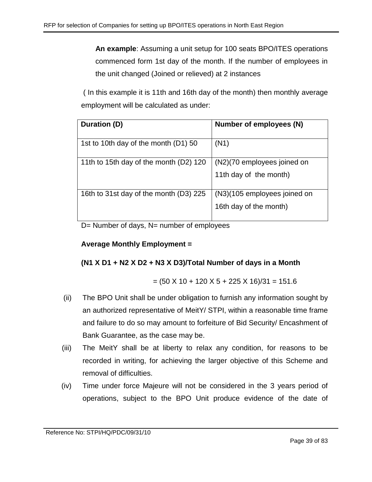**An example**: Assuming a unit setup for 100 seats BPO/ITES operations commenced form 1st day of the month. If the number of employees in the unit changed (Joined or relieved) at 2 instances

( In this example it is 11th and 16th day of the month) then monthly average employment will be calculated as under:

| Duration (D)                           | Number of employees (N)      |
|----------------------------------------|------------------------------|
| 1st to 10th day of the month (D1) 50   | (N1)                         |
| 11th to 15th day of the month (D2) 120 | (N2)(70 employees joined on  |
|                                        | 11th day of the month)       |
| 16th to 31st day of the month (D3) 225 | (N3)(105 employees joined on |
|                                        | 16th day of the month)       |

D= Number of days, N= number of employees

# **Average Monthly Employment =**

# **(N1 X D1 + N2 X D2 + N3 X D3)/Total Number of days in a Month**

$$
= (50 \times 10 + 120 \times 5 + 225 \times 16)/31 = 151.6
$$

- (ii) The BPO Unit shall be under obligation to furnish any information sought by an authorized representative of MeitY/ STPI, within a reasonable time frame and failure to do so may amount to forfeiture of Bid Security/ Encashment of Bank Guarantee, as the case may be.
- (iii) The MeitY shall be at liberty to relax any condition, for reasons to be recorded in writing, for achieving the larger objective of this Scheme and removal of difficulties.
- (iv) Time under force Majeure will not be considered in the 3 years period of operations, subject to the BPO Unit produce evidence of the date of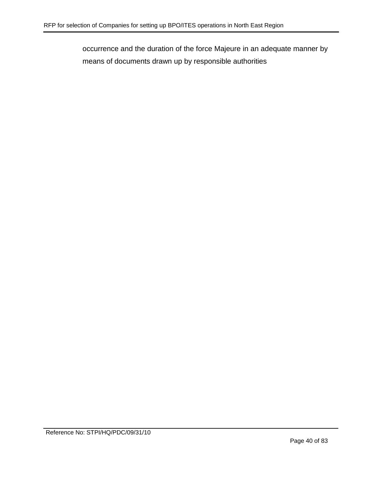occurrence and the duration of the force Majeure in an adequate manner by means of documents drawn up by responsible authorities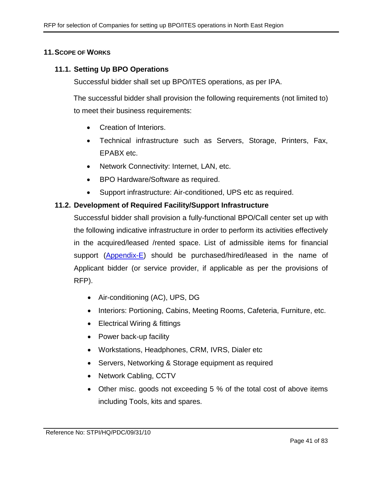## **11.SCOPE OF WORKS**

## **11.1. Setting Up BPO Operations**

Successful bidder shall set up BPO/ITES operations, as per IPA.

The successful bidder shall provision the following requirements (not limited to) to meet their business requirements:

- Creation of Interiors.
- Technical infrastructure such as Servers, Storage, Printers, Fax, EPABX etc.
- Network Connectivity: Internet, LAN, etc.
- BPO Hardware/Software as required.
- Support infrastructure: Air-conditioned, UPS etc as required.

## **11.2. Development of Required Facility/Support Infrastructure**

Successful bidder shall provision a fully-functional BPO/Call center set up with the following indicative infrastructure in order to perform its activities effectively in the acquired/leased /rented space. List of admissible items for financial support [\(Appendix-E\)](#page-54-0) should be purchased/hired/leased in the name of Applicant bidder (or service provider, if applicable as per the provisions of RFP).

- Air-conditioning (AC), UPS, DG
- Interiors: Portioning, Cabins, Meeting Rooms, Cafeteria, Furniture, etc.
- Electrical Wiring & fittings
- Power back-up facility
- Workstations, Headphones, CRM, IVRS, Dialer etc
- Servers, Networking & Storage equipment as required
- Network Cabling, CCTV
- Other misc. goods not exceeding 5 % of the total cost of above items including Tools, kits and spares.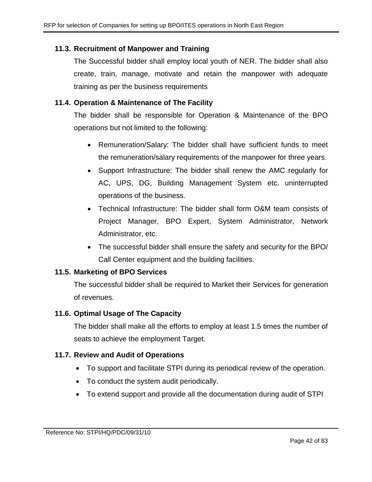# **11.3. Recruitment of Manpower and Training**

The Successful bidder shall employ local youth of NER. The bidder shall also create, train, manage, motivate and retain the manpower with adequate training as per the business requirements

# **11.4. Operation & Maintenance of The Facility**

The bidder shall be responsible for Operation & Maintenance of the BPO operations but not limited to the following:

- Remuneration/Salary: The bidder shall have sufficient funds to meet the remuneration/salary requirements of the manpower for three years.
- Support Infrastructure: The bidder shall renew the AMC regularly for AC, UPS, DG, Building Management System etc. uninterrupted operations of the business.
- Technical Infrastructure: The bidder shall form O&M team consists of Project Manager, BPO Expert, System Administrator, Network Administrator, etc.
- The successful bidder shall ensure the safety and security for the BPO/ Call Center equipment and the building facilities.

# **11.5. Marketing of BPO Services**

The successful bidder shall be required to Market their Services for generation of revenues.

# **11.6. Optimal Usage of The Capacity**

The bidder shall make all the efforts to employ at least 1.5 times the number of seats to achieve the employment Target.

# **11.7. Review and Audit of Operations**

- To support and facilitate STPI during its periodical review of the operation.
- To conduct the system audit periodically.
- To extend support and provide all the documentation during audit of STPI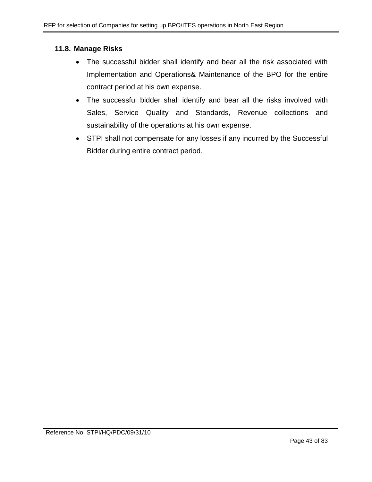## **11.8. Manage Risks**

- The successful bidder shall identify and bear all the risk associated with Implementation and Operations& Maintenance of the BPO for the entire contract period at his own expense.
- The successful bidder shall identify and bear all the risks involved with Sales, Service Quality and Standards, Revenue collections and sustainability of the operations at his own expense.
- STPI shall not compensate for any losses if any incurred by the Successful Bidder during entire contract period.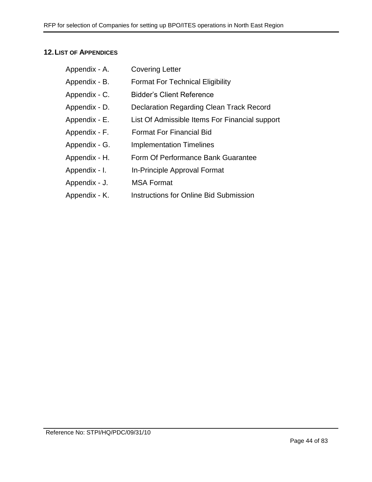# **12.LIST OF APPENDICES**

| Appendix - A. | <b>Covering Letter</b>                         |
|---------------|------------------------------------------------|
| Appendix - B. | <b>Format For Technical Eligibility</b>        |
| Appendix - C. | <b>Bidder's Client Reference</b>               |
| Appendix - D. | Declaration Regarding Clean Track Record       |
| Appendix - E. | List Of Admissible Items For Financial support |
| Appendix - F. | <b>Format For Financial Bid</b>                |
| Appendix - G. | <b>Implementation Timelines</b>                |
| Appendix - H. | Form Of Performance Bank Guarantee             |
| Appendix - I. | In-Principle Approval Format                   |
| Appendix - J. | <b>MSA Format</b>                              |
| Appendix - K. | <b>Instructions for Online Bid Submission</b>  |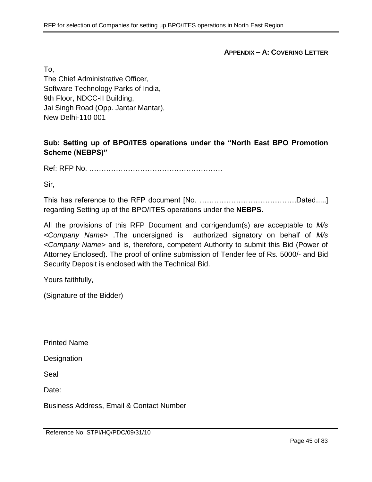**APPENDIX – A: COVERING LETTER**

To,

The Chief Administrative Officer, Software Technology Parks of India, 9th Floor, NDCC-II Building, Jai Singh Road (Opp. Jantar Mantar), New Delhi-110 001

**Sub: Setting up of BPO/ITES operations under the "North East BPO Promotion Scheme (NEBPS)"**

Ref: RFP No. ……………………………………………….

Sir,

This has reference to the RFP document [No. ………………………………….Dated.....] regarding Setting up of the BPO/ITES operations under the **NEBPS.**

All the provisions of this RFP Document and corrigendum(s) are acceptable to *M/s <Company Name>* .The undersigned is authorized signatory on behalf of *M/s <Company Name>* and is, therefore, competent Authority to submit this Bid (Power of Attorney Enclosed). The proof of online submission of Tender fee of Rs. 5000/- and Bid Security Deposit is enclosed with the Technical Bid.

Yours faithfully,

(Signature of the Bidder)

Printed Name

**Designation** 

Seal

Date:

Business Address, Email & Contact Number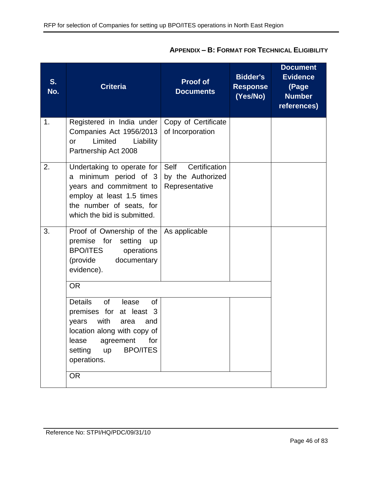| S.<br>No. | <b>Criteria</b>                                                                                                                                                                                                                       | <b>Proof of</b><br><b>Documents</b>                          | <b>Bidder's</b><br><b>Response</b><br>(Yes/No) | <b>Document</b><br><b>Evidence</b><br>(Page<br><b>Number</b><br>references) |
|-----------|---------------------------------------------------------------------------------------------------------------------------------------------------------------------------------------------------------------------------------------|--------------------------------------------------------------|------------------------------------------------|-----------------------------------------------------------------------------|
| 1.        | Registered in India under<br>Companies Act 1956/2013<br>Limited<br>Liability<br><b>or</b><br>Partnership Act 2008                                                                                                                     | Copy of Certificate<br>of Incorporation                      |                                                |                                                                             |
| 2.        | Undertaking to operate for<br>a minimum period of 3<br>years and commitment to<br>employ at least 1.5 times<br>the number of seats, for<br>which the bid is submitted.                                                                | Certification<br>Self<br>by the Authorized<br>Representative |                                                |                                                                             |
| 3.        | Proof of Ownership of the<br>premise for<br>setting<br><b>up</b><br><b>BPO/ITES</b><br>operations<br>(provide<br>documentary<br>evidence).                                                                                            | As applicable                                                |                                                |                                                                             |
|           | <b>OR</b><br><b>Details</b><br>of<br><b>of</b><br>lease<br>premises for at least 3<br>with<br>years<br>area<br>and<br>location along with copy of<br>lease agreement for<br><b>BPO/ITES</b><br>setting up<br>operations.<br><b>OR</b> |                                                              |                                                |                                                                             |

# **APPENDIX – B: FORMAT FOR TECHNICAL ELIGIBILITY**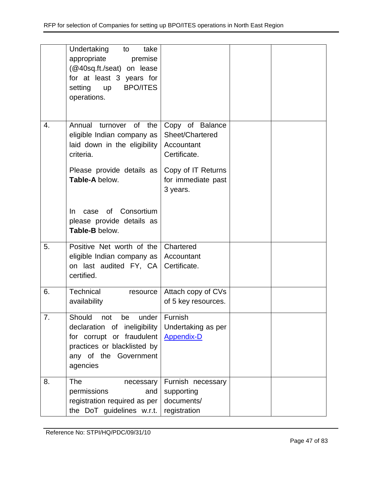|    | Undertaking<br>take<br>to<br>appropriate<br>premise<br>(@40sq.ft./seat) on lease<br>for at least 3 years for<br><b>BPO/ITES</b><br>setting<br><b>up</b><br>operations. |                                                                                                                          |  |
|----|------------------------------------------------------------------------------------------------------------------------------------------------------------------------|--------------------------------------------------------------------------------------------------------------------------|--|
| 4. | Annual turnover of the<br>eligible Indian company as<br>laid down in the eligibility<br>criteria.<br>Please provide details as<br>Table-A below.                       | Copy of Balance<br>Sheet/Chartered<br>Accountant<br>Certificate.<br>Copy of IT Returns<br>for immediate past<br>3 years. |  |
|    | of Consortium<br>In.<br>case<br>please provide details as<br>Table-B below.                                                                                            |                                                                                                                          |  |
| 5. | Positive Net worth of the<br>eligible Indian company as<br>on last audited FY, CA<br>certified.                                                                        | Chartered<br>Accountant<br>Certificate.                                                                                  |  |
| 6. | Technical<br>resource<br>availability                                                                                                                                  | Attach copy of CVs<br>of 5 key resources.                                                                                |  |
| 7. | Should<br>under<br>not<br>be<br>declaration of ineligibility<br>for corrupt or fraudulent<br>practices or blacklisted by<br>any of the Government<br>agencies          | Furnish<br>Undertaking as per<br><b>Appendix-D</b>                                                                       |  |
| 8. | <b>The</b><br>necessary<br>permissions<br>and<br>registration required as per<br>the DoT guidelines w.r.t.                                                             | Furnish necessary<br>supporting<br>documents/<br>registration                                                            |  |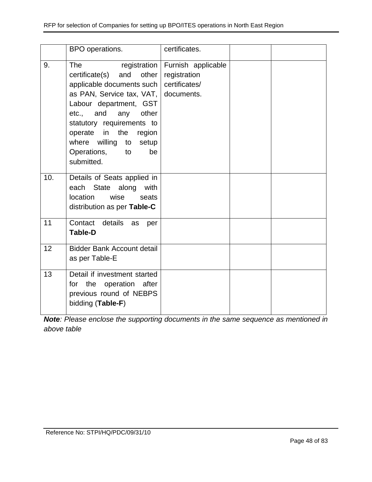|     | BPO operations.                                                                                                                                                                                                                                                                             | certificates.                                                      |  |
|-----|---------------------------------------------------------------------------------------------------------------------------------------------------------------------------------------------------------------------------------------------------------------------------------------------|--------------------------------------------------------------------|--|
| 9.  | <b>The</b><br>and<br>other<br>certificate(s)<br>applicable documents such<br>as PAN, Service tax, VAT, documents.<br>Labour department, GST<br>etc., and any other<br>statutory requirements to<br>operate in the region<br>where willing to setup<br>Operations,<br>to<br>be<br>submitted. | registration   Furnish applicable<br>registration<br>certificates/ |  |
| 10. | Details of Seats applied in<br>each State along with<br>location<br>wise<br>seats<br>distribution as per Table-C                                                                                                                                                                            |                                                                    |  |
| 11  | Contact details<br>as<br>per<br><b>Table-D</b>                                                                                                                                                                                                                                              |                                                                    |  |
| 12  | <b>Bidder Bank Account detail</b><br>as per Table-E                                                                                                                                                                                                                                         |                                                                    |  |
| 13  | Detail if investment started<br>for the operation after<br>previous round of NEBPS<br>bidding (Table-F)                                                                                                                                                                                     |                                                                    |  |

*Note: Please enclose the supporting documents in the same sequence as mentioned in above table*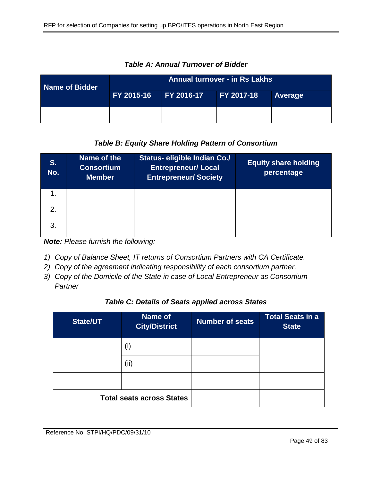| Name of Bidder | <b>Annual turnover - in Rs Lakhs</b> |              |                   |         |  |
|----------------|--------------------------------------|--------------|-------------------|---------|--|
|                | FY 2015-16 <b>1</b>                  | $FY 2016-17$ | <b>FY 2017-18</b> | Average |  |
|                |                                      |              |                   |         |  |

*Table A: Annual Turnover of Bidder*

# *Table B: Equity Share Holding Pattern of Consortium*

| S.<br>No.     | Name of the<br><b>Consortium</b><br><b>Member</b> | Status- eligible Indian Co./<br><b>Entrepreneur/ Local</b><br><b>Entrepreneur/Society</b> | <b>Equity share holding</b><br>percentage |
|---------------|---------------------------------------------------|-------------------------------------------------------------------------------------------|-------------------------------------------|
|               |                                                   |                                                                                           |                                           |
| $\mathcal{P}$ |                                                   |                                                                                           |                                           |
| $\mathbf{3}$  |                                                   |                                                                                           |                                           |

*Note: Please furnish the following:*

- *1) Copy of Balance Sheet, IT returns of Consortium Partners with CA Certificate.*
- *2) Copy of the agreement indicating responsibility of each consortium partner.*
- *3) Copy of the Domicile of the State in case of Local Entrepreneur as Consortium Partner*

## *Table C: Details of Seats applied across States*

| <b>State/UT</b>                  | Name of<br><b>City/District</b> | <b>Number of seats</b> | <b>Total Seats in a</b><br><b>State</b> |
|----------------------------------|---------------------------------|------------------------|-----------------------------------------|
|                                  | (i)                             |                        |                                         |
|                                  | (ii)                            |                        |                                         |
|                                  |                                 |                        |                                         |
| <b>Total seats across States</b> |                                 |                        |                                         |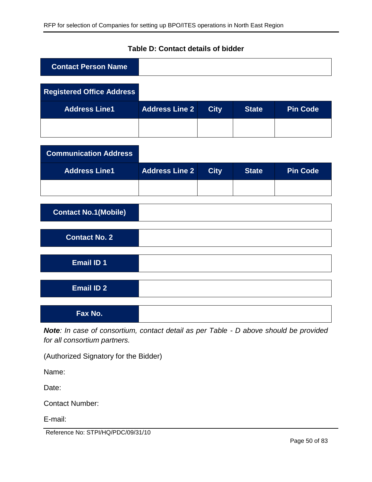| <b>Contact Person Name</b>       |                       |             |              |                 |
|----------------------------------|-----------------------|-------------|--------------|-----------------|
| <b>Registered Office Address</b> |                       |             |              |                 |
| <b>Address Line1</b>             | <b>Address Line 2</b> | <b>City</b> | <b>State</b> | <b>Pin Code</b> |
|                                  |                       |             |              |                 |
| <b>Communication Address</b>     |                       |             |              |                 |
| <b>Address Line1</b>             | <b>Address Line 2</b> | <b>City</b> | <b>State</b> | <b>Pin Code</b> |
|                                  |                       |             |              |                 |
| <b>Contact No.1(Mobile)</b>      |                       |             |              |                 |
| <b>Contact No. 2</b>             |                       |             |              |                 |
| <b>Email ID 1</b>                |                       |             |              |                 |
| <b>Email ID 2</b>                |                       |             |              |                 |
| Fax No.                          |                       |             |              |                 |

# **Table D: Contact details of bidder**

*Note: In case of consortium, contact detail as per Table - D above should be provided for all consortium partners.*

(Authorized Signatory for the Bidder)

Name:

Date:

Contact Number:

E-mail:

Reference No: STPI/HQ/PDC/09/31/10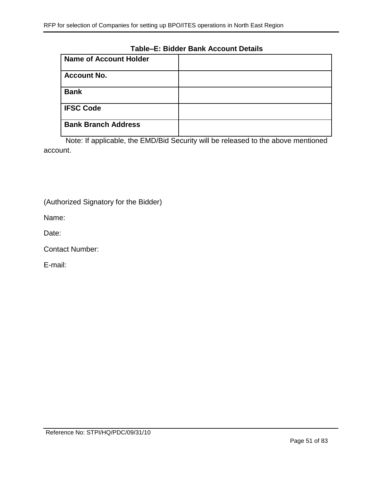### **Table–E: Bidder Bank Account Details**

| <b>Name of Account Holder</b> |  |
|-------------------------------|--|
| <b>Account No.</b>            |  |
| <b>Bank</b>                   |  |
| <b>IFSC Code</b>              |  |
| <b>Bank Branch Address</b>    |  |

Note: If applicable, the EMD/Bid Security will be released to the above mentioned account.

(Authorized Signatory for the Bidder)

Name:

Date:

Contact Number:

E-mail: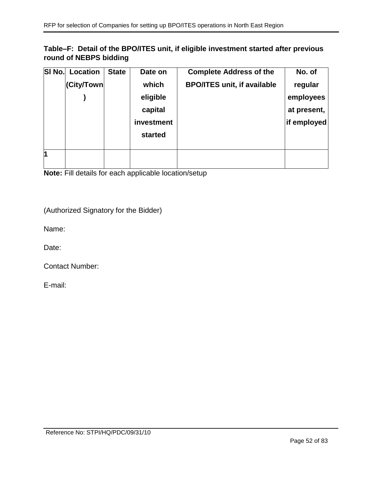# **Table–F: Detail of the BPO/ITES unit, if eligible investment started after previous round of NEBPS bidding**

| SI No. | <b>Location</b> | <b>State</b> | Date on    | <b>Complete Address of the</b>     | No. of      |
|--------|-----------------|--------------|------------|------------------------------------|-------------|
|        | (City/Town      |              | which      | <b>BPO/ITES unit, if available</b> | regular     |
|        |                 |              | eligible   |                                    | employees   |
|        |                 |              | capital    |                                    | at present, |
|        |                 |              | investment |                                    | if employed |
|        |                 |              | started    |                                    |             |
|        |                 |              |            |                                    |             |
| 1      |                 |              |            |                                    |             |
|        |                 |              |            |                                    |             |

**Note:** Fill details for each applicable location/setup

(Authorized Signatory for the Bidder)

Name:

Date:

Contact Number:

E-mail: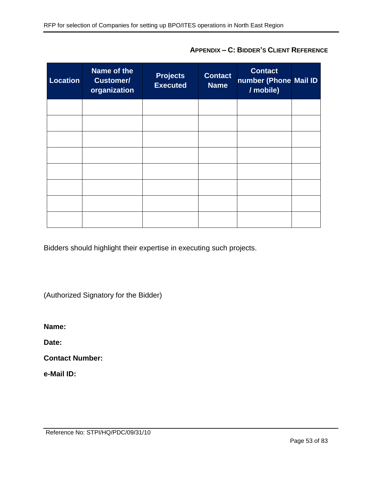| <b>Location</b> | Name of the<br><b>Customer/</b><br>organization | <b>Projects</b><br><b>Executed</b> | <b>Contact</b><br><b>Name</b> | <b>Contact</b><br>number (Phone Mail ID<br>/ mobile) |  |
|-----------------|-------------------------------------------------|------------------------------------|-------------------------------|------------------------------------------------------|--|
|                 |                                                 |                                    |                               |                                                      |  |
|                 |                                                 |                                    |                               |                                                      |  |
|                 |                                                 |                                    |                               |                                                      |  |
|                 |                                                 |                                    |                               |                                                      |  |
|                 |                                                 |                                    |                               |                                                      |  |
|                 |                                                 |                                    |                               |                                                      |  |
|                 |                                                 |                                    |                               |                                                      |  |
|                 |                                                 |                                    |                               |                                                      |  |

**APPENDIX – C: BIDDER'S CLIENT REFERENCE**

Bidders should highlight their expertise in executing such projects.

(Authorized Signatory for the Bidder)

**Name:** 

**Date:** 

**Contact Number:** 

**e-Mail ID:**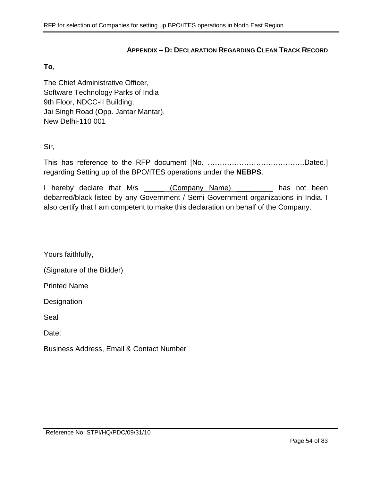### **APPENDIX – D: DECLARATION REGARDING CLEAN TRACK RECORD**

#### <span id="page-53-0"></span>**To**,

The Chief Administrative Officer, Software Technology Parks of India 9th Floor, NDCC-II Building, Jai Singh Road (Opp. Jantar Mantar), New Delhi-110 001

Sir,

This has reference to the RFP document [No. ………………………………….Dated.] regarding Setting up of the BPO/ITES operations under the **NEBPS**.

I hereby declare that M/s (Company Name) and has not been debarred/black listed by any Government / Semi Government organizations in India. I also certify that I am competent to make this declaration on behalf of the Company.

Yours faithfully,

(Signature of the Bidder)

Printed Name

**Designation** 

Seal

Date:

Business Address, Email & Contact Number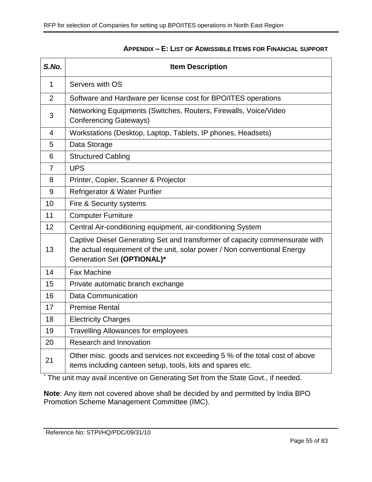<span id="page-54-0"></span>

| S.No. | <b>Item Description</b>                                                                                                                                                                |  |  |
|-------|----------------------------------------------------------------------------------------------------------------------------------------------------------------------------------------|--|--|
| 1     | Servers with OS                                                                                                                                                                        |  |  |
| 2     | Software and Hardware per license cost for BPO/ITES operations                                                                                                                         |  |  |
| 3     | Networking Equipments (Switches, Routers, Firewalls, Voice/Video<br><b>Conferencing Gateways)</b>                                                                                      |  |  |
| 4     | Workstations (Desktop, Laptop, Tablets, IP phones, Headsets)                                                                                                                           |  |  |
| 5     | Data Storage                                                                                                                                                                           |  |  |
| 6     | <b>Structured Cabling</b>                                                                                                                                                              |  |  |
| 7     | <b>UPS</b>                                                                                                                                                                             |  |  |
| 8     | Printer, Copier, Scanner & Projector                                                                                                                                                   |  |  |
| 9     | Refrigerator & Water Purifier                                                                                                                                                          |  |  |
| 10    | Fire & Security systems                                                                                                                                                                |  |  |
| 11    | <b>Computer Furniture</b>                                                                                                                                                              |  |  |
| 12    | Central Air-conditioning equipment, air-conditioning System                                                                                                                            |  |  |
| 13    | Captive Diesel Generating Set and transformer of capacity commensurate with<br>the actual requirement of the unit, solar power / Non conventional Energy<br>Generation Set (OPTIONAL)* |  |  |
| 14    | <b>Fax Machine</b>                                                                                                                                                                     |  |  |
| 15    | Private automatic branch exchange                                                                                                                                                      |  |  |
| 16    | <b>Data Communication</b>                                                                                                                                                              |  |  |
| 17    | <b>Premise Rental</b>                                                                                                                                                                  |  |  |
| 18    | <b>Electricity Charges</b>                                                                                                                                                             |  |  |
| 19    | <b>Travelling Allowances for employees</b>                                                                                                                                             |  |  |
| 20    | Research and Innovation                                                                                                                                                                |  |  |
| 21    | Other misc. goods and services not exceeding 5 % of the total cost of above<br>items including canteen setup, tools, kits and spares etc.                                              |  |  |

## **APPENDIX – E: LIST OF ADMISSIBLE ITEMS FOR FINANCIAL SUPPORT**

\* The unit may avail incentive on Generating Set from the State Govt., if needed.

**Note**: Any item not covered above shall be decided by and permitted by India BPO Promotion Scheme Management Committee (IMC).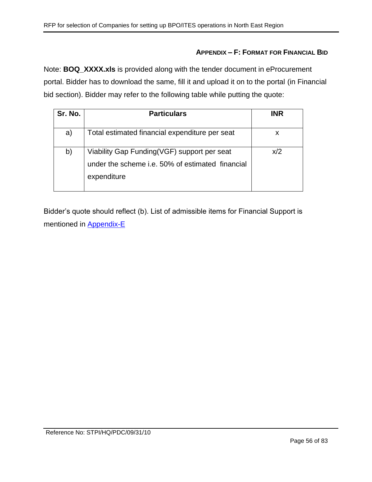### **APPENDIX – F: FORMAT FOR FINANCIAL BID**

Note: **BOQ\_XXXX.xls** is provided along with the tender document in eProcurement portal. Bidder has to download the same, fill it and upload it on to the portal (in Financial bid section). Bidder may refer to the following table while putting the quote:

| Sr. No. | <b>Particulars</b>                                                                                             | <b>INR</b> |
|---------|----------------------------------------------------------------------------------------------------------------|------------|
| a)      | Total estimated financial expenditure per seat                                                                 | X          |
| b)      | Viability Gap Funding(VGF) support per seat<br>under the scheme i.e. 50% of estimated financial<br>expenditure | x/2        |

Bidder's quote should reflect (b). List of admissible items for Financial Support is mentioned in [Appendix-E](#page-54-0)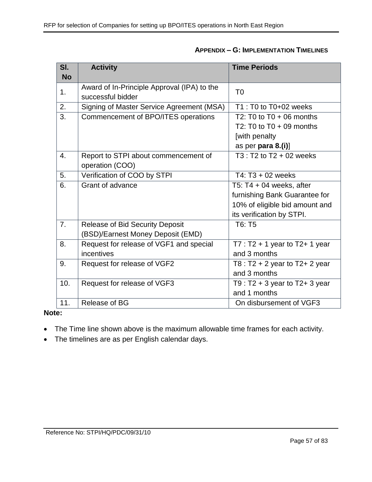| SI.       | <b>Activity</b>                             | <b>Time Periods</b>                 |
|-----------|---------------------------------------------|-------------------------------------|
| <b>No</b> |                                             |                                     |
| 1.        | Award of In-Principle Approval (IPA) to the | T <sub>0</sub>                      |
|           | successful bidder                           |                                     |
| 2.        | Signing of Master Service Agreement (MSA)   | T1 : T0 to T0+02 weeks              |
| 3.        | Commencement of BPO/ITES operations         | T2: T0 to $T0 + 06$ months          |
|           |                                             | T2: T0 to $T0 + 09$ months          |
|           |                                             | [with penalty                       |
|           |                                             | as per para 8.(i)]                  |
| 4.        | Report to STPI about commencement of        | $T3: T2$ to $T2 + 02$ weeks         |
|           | operation (COO)                             |                                     |
| 5.        | Verification of COO by STPI                 | $T4: T3 + 02$ weeks                 |
| 6.        | Grant of advance                            | T5: $T4 + 04$ weeks, after          |
|           |                                             | furnishing Bank Guarantee for       |
|           |                                             | 10% of eligible bid amount and      |
|           |                                             | its verification by STPI.           |
| 7.        | <b>Release of Bid Security Deposit</b>      | T6: T5                              |
|           | (BSD)/Earnest Money Deposit (EMD)           |                                     |
| 8.        | Request for release of VGF1 and special     | $T7: T2 + 1$ year to T2+ 1 year     |
|           | incentives                                  | and 3 months                        |
| 9.        | Request for release of VGF2                 | T8 : $T2 + 2$ year to $T2 + 2$ year |
|           |                                             | and 3 months                        |
| 10.       | Request for release of VGF3                 | T9 : $T2 + 3$ year to $T2 + 3$ year |
|           |                                             | and 1 months                        |
| 11.       | Release of BG                               | On disbursement of VGF3             |

## **Note:**

- The Time line shown above is the maximum allowable time frames for each activity.
- The timelines are as per English calendar days.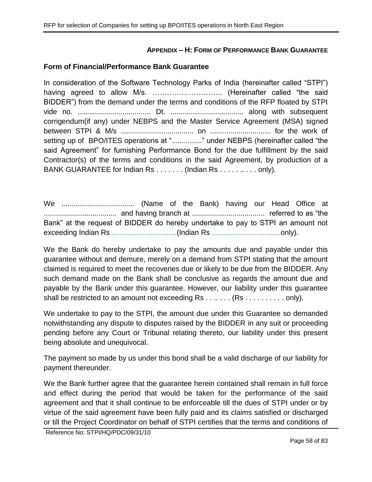## **APPENDIX – H: FORM OF PERFORMANCE BANK GUARANTEE**

### **Form of Financial/Performance Bank Guarantee**

In consideration of the Software Technology Parks of India (hereinafter called "STPI") having agreed to allow M/s. ……………………….. (Hereinafter called "the said BIDDER") from the demand under the terms and conditions of the RFP floated by STPI vide no. .................................... Dt. .................................... along with subsequent corrigendum(if any) under NEBPS and the Master Service Agreement (MSA) signed between STPI & M/s .................................... on .............................. for the work of setting up of BPO/ITES operations at "................" under NEBPS (hereinafter called "the said Agreement" for furnishing Performance Bond for the due fulfillment by the said Contractor(s) of the terms and conditions in the said Agreement, by production of a BANK GUARANTEE for Indian Rs . . . . . . . (Indian Rs . . . . . . . . . . only).

We .................................... (Name of the Bank) having our Head Office at .................................... and having branch at .................................... referred to as "the Bank" at the request of BIDDER do hereby undertake to pay to STPI an amount not exceeding Indian Rs ................................(Indian Rs ..................................only).

We the Bank do hereby undertake to pay the amounts due and payable under this guarantee without and demure, merely on a demand from STPI stating that the amount claimed is required to meet the recoveries due or likely to be due from the BIDDER. Any such demand made on the Bank shall be conclusive as regards the amount due and payable by the Bank under this guarantee. However, our liability under this guarantee shall be restricted to an amount not exceeding Rs . . . . . . . (Rs . . . . . . . . . . only).

We undertake to pay to the STPI, the amount due under this Guarantee so demanded notwithstanding any dispute to disputes raised by the BIDDER in any suit or proceeding pending before any Court or Tribunal relating thereto, our liability under this present being absolute and unequivocal.

The payment so made by us under this bond shall be a valid discharge of our liability for payment thereunder.

We the Bank further agree that the guarantee herein contained shall remain in full force and effect during the period that would be taken for the performance of the said agreement and that it shall continue to be enforceable till the dues of STPI under or by virtue of the said agreement have been fully paid and its claims satisfied or discharged or till the Project Coordinator on behalf of STPI certifies that the terms and conditions of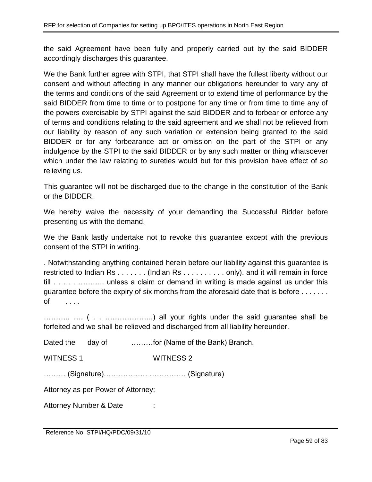the said Agreement have been fully and properly carried out by the said BIDDER accordingly discharges this guarantee.

We the Bank further agree with STPI, that STPI shall have the fullest liberty without our consent and without affecting in any manner our obligations hereunder to vary any of the terms and conditions of the said Agreement or to extend time of performance by the said BIDDER from time to time or to postpone for any time or from time to time any of the powers exercisable by STPI against the said BIDDER and to forbear or enforce any of terms and conditions relating to the said agreement and we shall not be relieved from our liability by reason of any such variation or extension being granted to the said BIDDER or for any forbearance act or omission on the part of the STPI or any indulgence by the STPI to the said BIDDER or by any such matter or thing whatsoever which under the law relating to sureties would but for this provision have effect of so relieving us.

This guarantee will not be discharged due to the change in the constitution of the Bank or the BIDDER.

We hereby waive the necessity of your demanding the Successful Bidder before presenting us with the demand.

We the Bank lastly undertake not to revoke this guarantee except with the previous consent of the STPI in writing.

. Notwithstanding anything contained herein before our liability against this guarantee is restricted to Indian Rs . . . . . . . (Indian Rs . . . . . . . . . . only). and it will remain in force till . . . . . . . . . . . . . . . . unless a claim or demand in writing is made against us under this guarantee before the expiry of six months from the aforesaid date that is before . . . . . . . of . . . .

……….. …. ( . . ………………..) all your rights under the said guarantee shall be forfeited and we shall be relieved and discharged from all liability hereunder.

Dated the day of ………for (Name of the Bank) Branch.

WITNESS 1 WITNESS 2

……… (Signature)……………… …………… (Signature)

Attorney as per Power of Attorney:

Attorney Number & Date :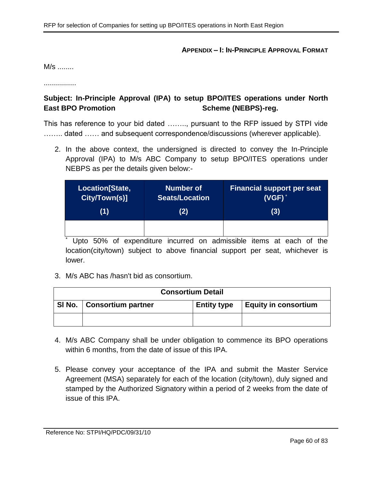#### **APPENDIX – I: IN-PRINCIPLE APPROVAL FORMAT**

M/s ........

................

# **Subject: In-Principle Approval (IPA) to setup BPO/ITES operations under North East BPO Promotion Contract Scheme (NEBPS)-reg.**

This has reference to your bid dated …….., pursuant to the RFP issued by STPI vide ........ dated ...... and subsequent correspondence/discussions (wherever applicable).

2. In the above context, the undersigned is directed to convey the In-Principle Approval (IPA) to M/s ABC Company to setup BPO/ITES operations under NEBPS as per the details given below:-

| Location[State, | <b>Number of</b> | <b>Financial support per seat</b> |
|-----------------|------------------|-----------------------------------|
| City/Town(s)]   | Seats/Location   | $(VGF)^*$                         |
| (1)             | (2)              | (3)                               |
|                 |                  |                                   |

\* Upto 50% of expenditure incurred on admissible items at each of the location(city/town) subject to above financial support per seat, whichever is lower.

3. M/s ABC has /hasn't bid as consortium.

| <b>Consortium Detail</b> |                             |                    |                             |  |
|--------------------------|-----------------------------|--------------------|-----------------------------|--|
|                          | SI No.   Consortium partner | <b>Entity type</b> | <b>Equity in consortium</b> |  |
|                          |                             |                    |                             |  |

- 4. M/s ABC Company shall be under obligation to commence its BPO operations within 6 months, from the date of issue of this IPA.
- 5. Please convey your acceptance of the IPA and submit the Master Service Agreement (MSA) separately for each of the location (city/town), duly signed and stamped by the Authorized Signatory within a period of 2 weeks from the date of issue of this IPA.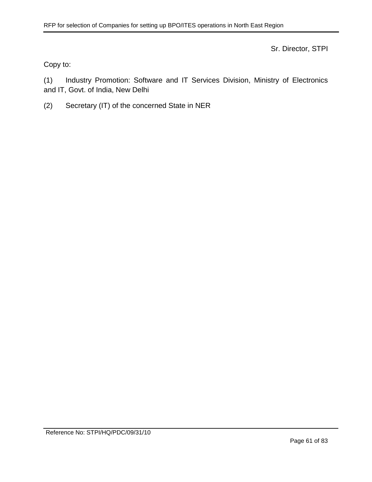Sr. Director, STPI

Copy to:

(1) Industry Promotion: Software and IT Services Division, Ministry of Electronics and IT, Govt. of India, New Delhi

(2) Secretary (IT) of the concerned State in NER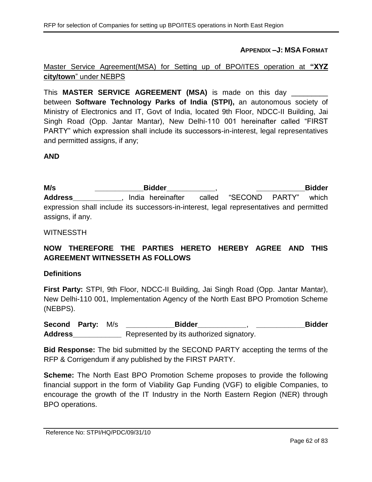**APPENDIX –J: MSA FORMAT**

# Master Service Agreement(MSA) for Setting up of BPO/ITES operation at **"XYZ city/town**" under NEBPS

This **MASTER SERVICE AGREEMENT (MSA)** is made on this day \_\_\_\_\_\_\_\_\_ between **Software Technology Parks of India (STPI),** an autonomous society of Ministry of Electronics and IT, Govt of India, located 9th Floor, NDCC-II Building, Jai Singh Road (Opp. Jantar Mantar), New Delhi-110 001 hereinafter called "FIRST PARTY" which expression shall include its successors-in-interest, legal representatives and permitted assigns, if any;

## **AND**

**M/s \_\_\_\_\_\_\_\_\_\_\_\_Bidder\_\_\_\_\_\_\_\_\_\_\_\_**, **\_\_\_\_\_\_\_\_\_\_\_\_Bidder**  Address **Address** , India hereinafter called "SECOND PARTY" which expression shall include its successors-in-interest, legal representatives and permitted assigns, if any.

#### WITNESSTH

# **NOW THEREFORE THE PARTIES HERETO HEREBY AGREE AND THIS AGREEMENT WITNESSETH AS FOLLOWS**

#### **Definitions**

**First Party:** STPI, 9th Floor, NDCC-II Building, Jai Singh Road (Opp. Jantar Mantar), New Delhi-110 001, Implementation Agency of the North East BPO Promotion Scheme (NEBPS).

**Second Party:** M/s **\_\_\_\_\_\_\_\_\_\_\_\_Bidder\_\_\_\_\_\_\_\_\_\_\_\_**, **\_\_\_\_\_\_\_\_\_\_\_\_Bidder Address\_\_\_\_\_\_\_\_\_\_\_\_** Represented by its authorized signatory.

**Bid Response:** The bid submitted by the SECOND PARTY accepting the terms of the RFP & Corrigendum if any published by the FIRST PARTY.

**Scheme:** The North East BPO Promotion Scheme proposes to provide the following financial support in the form of Viability Gap Funding (VGF) to eligible Companies, to encourage the growth of the IT Industry in the North Eastern Region (NER) through BPO operations.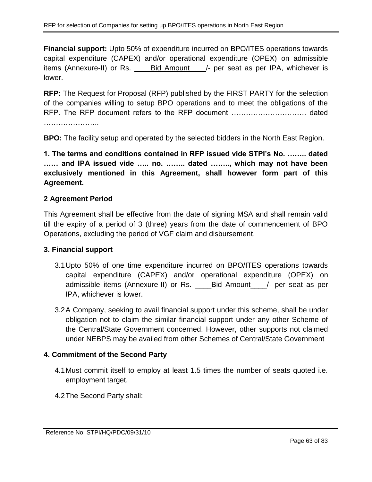**Financial support:** Upto 50% of expenditure incurred on BPO/ITES operations towards capital expenditure (CAPEX) and/or operational expenditure (OPEX) on admissible items (Annexure-II) or Rs. \_\_\_\_Bid Amount\_\_\_\_/- per seat as per IPA, whichever is lower.

**RFP:** The Request for Proposal (RFP) published by the FIRST PARTY for the selection of the companies willing to setup BPO operations and to meet the obligations of the RFP. The RFP document refers to the RFP document …………………………. dated ………………………

**BPO:** The facility setup and operated by the selected bidders in the North East Region.

**1. The terms and conditions contained in RFP issued vide STPI's No. …….. dated …… and IPA issued vide ….. no. …….. dated …….., which may not have been exclusively mentioned in this Agreement, shall however form part of this Agreement.**

# **2 Agreement Period**

This Agreement shall be effective from the date of signing MSA and shall remain valid till the expiry of a period of 3 (three) years from the date of commencement of BPO Operations, excluding the period of VGF claim and disbursement.

## **3. Financial support**

- 3.1Upto 50% of one time expenditure incurred on BPO/ITES operations towards capital expenditure (CAPEX) and/or operational expenditure (OPEX) on admissible items (Annexure-II) or Rs. \_\_\_\_\_Bid Amount \_\_\_/- per seat as per IPA, whichever is lower.
- 3.2A Company, seeking to avail financial support under this scheme, shall be under obligation not to claim the similar financial support under any other Scheme of the Central/State Government concerned. However, other supports not claimed under NEBPS may be availed from other Schemes of Central/State Government

# **4. Commitment of the Second Party**

- 4.1Must commit itself to employ at least 1.5 times the number of seats quoted i.e. employment target.
- 4.2The Second Party shall: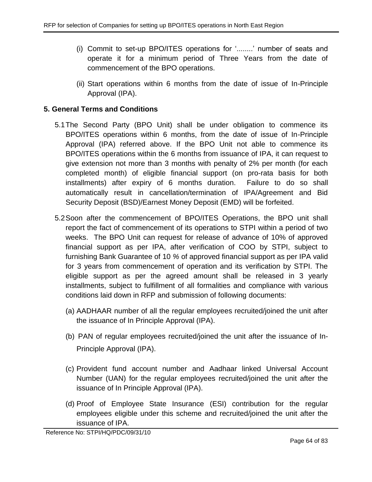- (i) Commit to set-up BPO/ITES operations for '........' number of seats and operate it for a minimum period of Three Years from the date of commencement of the BPO operations.
- (ii) Start operations within 6 months from the date of issue of In-Principle Approval (IPA).

# **5. General Terms and Conditions**

- 5.1The Second Party (BPO Unit) shall be under obligation to commence its BPO/ITES operations within 6 months, from the date of issue of In-Principle Approval (IPA) referred above. If the BPO Unit not able to commence its BPO/ITES operations within the 6 months from issuance of IPA, it can request to give extension not more than 3 months with penalty of 2% per month (for each completed month) of eligible financial support (on pro-rata basis for both installments) after expiry of 6 months duration. Failure to do so shall automatically result in cancellation/termination of IPA/Agreement and Bid Security Deposit (BSD)/Earnest Money Deposit (EMD) will be forfeited.
- <span id="page-63-0"></span>5.2Soon after the commencement of BPO/ITES Operations, the BPO unit shall report the fact of commencement of its operations to STPI within a period of two weeks. The BPO Unit can request for release of advance of 10% of approved financial support as per IPA, after verification of COO by STPI, subject to furnishing Bank Guarantee of 10 *%* of approved financial support as per IPA valid for 3 years from commencement of operation and its verification by STPI. The eligible support as per the agreed amount shall be released in 3 yearly installments, subject to fulfillment of all formalities and compliance with various conditions laid down in RFP and submission of following documents:
	- (a) AADHAAR number of all the regular employees recruited/joined the unit after the issuance of In Principle Approval (IPA).
	- (b) PAN of regular employees recruited/joined the unit after the issuance of In-Principle Approval (IPA).
	- (c) Provident fund account number and Aadhaar linked Universal Account Number (UAN) for the regular employees recruited/joined the unit after the issuance of In Principle Approval (IPA).
	- (d) Proof of Employee State Insurance (ESI) contribution for the regular employees eligible under this scheme and recruited/joined the unit after the issuance of IPA.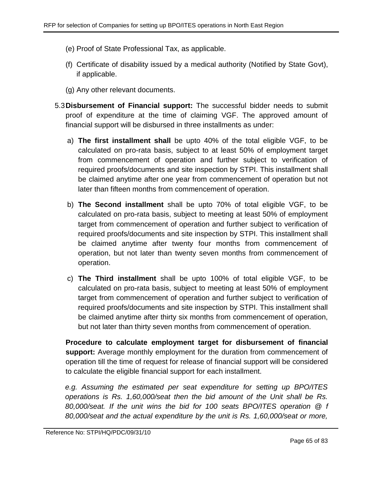- (e) Proof of State Professional Tax, as applicable.
- (f) Certificate of disability issued by a medical authority (Notified by State Govt), if applicable.
- (g) Any other relevant documents.
- 5.3**Disbursement of Financial support:** The successful bidder needs to submit proof of expenditure at the time of claiming VGF. The approved amount of financial support will be disbursed in three installments as under:
	- a) **The first installment shall** be upto 40% of the total eligible VGF, to be calculated on pro-rata basis, subject to at least 50% of employment target from commencement of operation and further subject to verification of required proofs/documents and site inspection by STPI. This installment shall be claimed anytime after one year from commencement of operation but not later than fifteen months from commencement of operation.
	- b) **The Second installment** shall be upto 70% of total eligible VGF, to be calculated on pro-rata basis, subject to meeting at least 50% of employment target from commencement of operation and further subject to verification of required proofs/documents and site inspection by STPI. This installment shall be claimed anytime after twenty four months from commencement of operation, but not later than twenty seven months from commencement of operation.
	- c) **The Third installment** shall be upto 100% of total eligible VGF, to be calculated on pro-rata basis, subject to meeting at least 50% of employment target from commencement of operation and further subject to verification of required proofs/documents and site inspection by STPI. This installment shall be claimed anytime after thirty six months from commencement of operation, but not later than thirty seven months from commencement of operation.

**Procedure to calculate employment target for disbursement of financial support:** Average monthly employment for the duration from commencement of operation till the time of request for release of financial support will be considered to calculate the eligible financial support for each installment.

*e.g. Assuming the estimated per seat expenditure for setting up BPO/ITES operations is Rs. 1,60,000/seat then the bid amount of the Unit shall be Rs. 80,000/seat. If the unit wins the bid for 100 seats BPO/ITES operation @ f 80,000/seat and the actual expenditure by the unit is Rs. 1,60,000/seat or more,*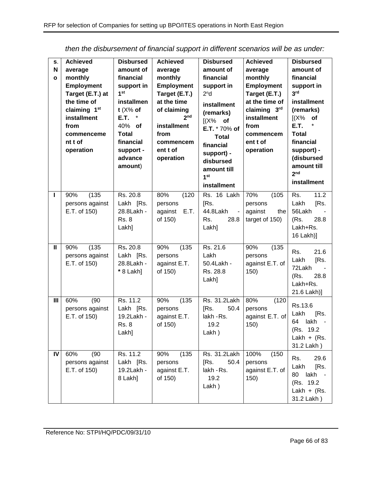| S.<br>N<br>$\mathbf{o}$ | <b>Achieved</b><br>average<br>monthly<br><b>Employment</b><br>Target (E.T.) at<br>the time of<br>claiming 1 <sup>st</sup><br>installment<br>from<br>commenceme<br>nt t of<br>operation | <b>Disbursed</b><br>amount of<br>financial<br>support in<br>1 <sup>st</sup><br>installmen<br>t $(X\%$ of<br>E.T.<br>40% of<br><b>Total</b><br>financial<br>support -<br>advance<br>amount) | <b>Achieved</b><br>average<br>monthly<br><b>Employment</b><br>Target (E.T.)<br>at the time<br>of claiming<br>2 <sub>nd</sub><br>installment<br>from<br>commencem<br>ent t of<br>operation | <b>Disbursed</b><br>amount of<br>financial<br>support in<br>2 <sup>n</sup> d<br>installment<br>(remarks)<br>$[(X\%$ of<br>E.T. * 70% of<br><b>Total</b><br>financial<br>support) -<br>disbursed<br>amount till<br>1st<br>installment | <b>Achieved</b><br>average<br>monthly<br><b>Employment</b><br>Target (E.T.)<br>at the time of<br>claiming 3rd<br>installment<br>from<br>commencem<br>ent t of<br>operation | <b>Disbursed</b><br>amount of<br>financial<br>support in<br>3 <sup>rd</sup><br>installment<br>(remarks)<br>$(X\%$<br>of<br>E.T.<br><b>Total</b><br>financial<br>support) -<br>(disbursed<br>amount till<br>2 <sub>nd</sub><br>installment |
|-------------------------|----------------------------------------------------------------------------------------------------------------------------------------------------------------------------------------|--------------------------------------------------------------------------------------------------------------------------------------------------------------------------------------------|-------------------------------------------------------------------------------------------------------------------------------------------------------------------------------------------|--------------------------------------------------------------------------------------------------------------------------------------------------------------------------------------------------------------------------------------|----------------------------------------------------------------------------------------------------------------------------------------------------------------------------|-------------------------------------------------------------------------------------------------------------------------------------------------------------------------------------------------------------------------------------------|
| ı                       | (135)<br>90%<br>persons against<br>E.T. of 150)                                                                                                                                        | Rs. 20.8<br>Lakh [Rs.<br>28.8Lakh -<br><b>Rs. 8</b><br>Lakh]                                                                                                                               | 80%<br>(120)<br>persons<br>E.T.<br>against<br>of 150)                                                                                                                                     | Rs. 16 Lakh<br>[Rs.<br>44.8Lakh<br>$\sim$<br>Rs.<br>28.8<br>Lakh]                                                                                                                                                                    | 70%<br>(105)<br>persons<br>against<br>the<br>target of 150)                                                                                                                | 11.2<br>Rs.<br>Lakh<br>[Rs.<br>56Lakh<br>(Rs.<br>28.8<br>Lakh+Rs.<br>16 Lakh)]                                                                                                                                                            |
| Ш                       | (135)<br>90%<br>persons against<br>E.T. of 150)                                                                                                                                        | Rs. 20.8<br>Lakh [Rs.<br>28.8Lakh -<br>* 8 Lakh]                                                                                                                                           | 90%<br>(135)<br>persons<br>against E.T.<br>of 150)                                                                                                                                        | Rs. 21.6<br>Lakh<br>50.4Lakh -<br>Rs. 28.8<br>Lakh]                                                                                                                                                                                  | 90%<br>(135)<br>persons<br>against E.T. of<br>150)                                                                                                                         | 21.6<br>Rs.<br>Lakh<br>[Rs.<br>72Lakh<br>28.8<br>(Rs.<br>Lakh+Rs.<br>21.6 Lakh)]                                                                                                                                                          |
| III                     | (90)<br>60%<br>persons against<br>E.T. of 150)                                                                                                                                         | Rs. 11.2<br>Lakh [Rs.<br>19.2Lakh -<br><b>Rs. 8</b><br>Lakh]                                                                                                                               | (135)<br>90%<br>persons<br>against E.T.<br>of 150)                                                                                                                                        | Rs. 31.2Lakh<br>50.4<br>[Rs.<br>lakh - Rs.<br>19.2<br>Lakh)                                                                                                                                                                          | 80%<br>(120)<br>persons<br>against E.T. of<br>150)                                                                                                                         | Rs.13.6<br>Lakh<br>[Rs.<br>lakh<br>64<br>(Rs. 19.2)<br>Lakh + $(Rs.$<br>31.2 Lakh)                                                                                                                                                        |
| IV                      | 60%<br>(90)<br>persons against<br>E.T. of 150)                                                                                                                                         | Rs. 11.2<br>Lakh [Rs.<br>19.2Lakh -<br>8 Lakh]                                                                                                                                             | (135)<br>90%<br>persons<br>against E.T.<br>of 150)                                                                                                                                        | Rs. 31.2Lakh<br>50.4<br>[Rs.<br>lakh - Rs.<br>19.2<br>$Lakh$ )                                                                                                                                                                       | 100%<br>(150)<br>persons<br>against E.T. of<br>150)                                                                                                                        | 29.6<br>Rs.<br>Lakh<br>[Rs.<br>80<br>lakh<br>(Rs. 19.2)<br>Lakh + $(Rs.$<br>31.2 Lakh)                                                                                                                                                    |

*then the disbursement of financial support in different scenarios will be as under:*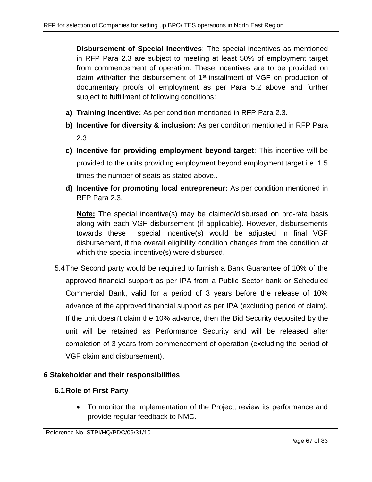**Disbursement of Special Incentives**: The special incentives as mentioned in RFP Para [2.3](#page-6-0) are subject to meeting at least 50% of employment target from commencement of operation. These incentives are to be provided on claim with/after the disbursement of 1<sup>st</sup> installment of VGF on production of documentary proofs of employment as per Para [5.2](#page-63-0) above and further subject to fulfillment of following conditions:

- **a) Training Incentive:** As per condition mentioned in RFP Para [2.3.](#page-6-0)
- **b) Incentive for diversity & inclusion:** As per condition mentioned in RFP Para [2.3](#page-6-0)
- **c) Incentive for providing employment beyond target**: This incentive will be provided to the units providing employment beyond employment target i.e. 1.5 times the number of seats as stated above..
- **d) Incentive for promoting local entrepreneur:** As per condition mentioned in RFP Para [2.3.](#page-6-0)

**Note:** The special incentive(s) may be claimed/disbursed on pro-rata basis along with each VGF disbursement (if applicable). However, disbursements towards these special incentive(s) would be adjusted in final VGF disbursement, if the overall eligibility condition changes from the condition at which the special incentive(s) were disbursed.

5.4The Second party would be required to furnish a Bank Guarantee of 10% of the approved financial support as per IPA from a Public Sector bank or Scheduled Commercial Bank, valid for a period of 3 years before the release of 10% advance of the approved financial support as per IPA (excluding period of claim). If the unit doesn't claim the 10% advance, then the Bid Security deposited by the unit will be retained as Performance Security and will be released after completion of 3 years from commencement of operation (excluding the period of VGF claim and disbursement).

# **6 Stakeholder and their responsibilities**

# **6.1Role of First Party**

• To monitor the implementation of the Project, review its performance and provide regular feedback to NMC.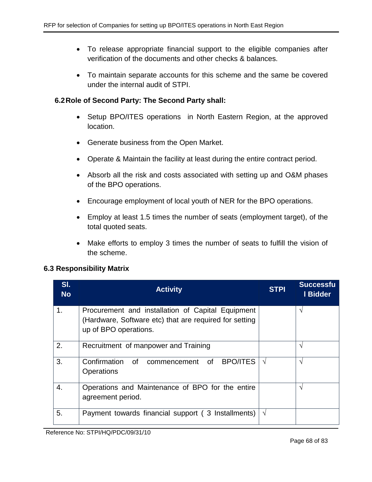- To release appropriate financial support to the eligible companies after verification of the documents and other checks & balances.
- To maintain separate accounts for this scheme and the same be covered under the internal audit of STPI.

## **6.2Role of Second Party: The Second Party shall:**

- Setup BPO/ITES operations in North Eastern Region, at the approved location.
- Generate business from the Open Market.
- Operate & Maintain the facility at least during the entire contract period.
- Absorb all the risk and costs associated with setting up and O&M phases of the BPO operations.
- Encourage employment of local youth of NER for the BPO operations.
- Employ at least 1.5 times the number of seats (employment target), of the total quoted seats.
- Make efforts to employ 3 times the number of seats to fulfill the vision of the scheme.

## **6.3 Responsibility Matrix**

| SI.<br><b>No</b> | <b>Activity</b>                                                                                                                      | <b>STPI</b> | <b>Successfu</b><br>I Bidder |
|------------------|--------------------------------------------------------------------------------------------------------------------------------------|-------------|------------------------------|
| 1.               | Procurement and installation of Capital Equipment<br>(Hardware, Software etc) that are required for setting<br>up of BPO operations. |             | V                            |
| 2.               | Recruitment of manpower and Training                                                                                                 |             | N                            |
| 3.               | Confirmation of<br><b>BPO/ITES</b><br>of<br>commencement<br><b>Operations</b>                                                        | $\sqrt{ }$  | N                            |
| 4.               | Operations and Maintenance of BPO for the entire<br>agreement period.                                                                |             | V                            |
| 5.               | Payment towards financial support (3 Installments)                                                                                   | $\sqrt{ }$  |                              |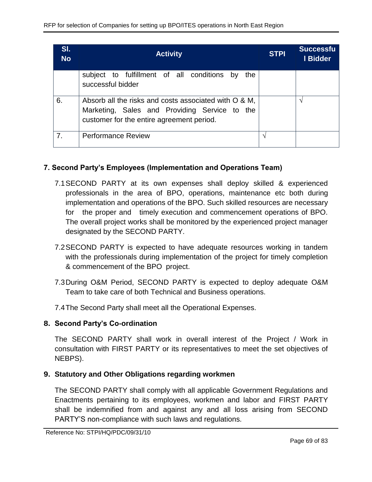| SI.<br><b>No</b> | <b>Activity</b>                                                                                                                                     | <b>STPI</b> | <b>Successfu</b><br>I Bidder |
|------------------|-----------------------------------------------------------------------------------------------------------------------------------------------------|-------------|------------------------------|
|                  | subject to fulfillment of all conditions by<br>the<br>successful bidder                                                                             |             |                              |
| 6.               | Absorb all the risks and costs associated with O & M,<br>Marketing, Sales and Providing Service to the<br>customer for the entire agreement period. |             | ٦                            |
| 7.               | <b>Performance Review</b>                                                                                                                           |             |                              |

# **7. Second Party's Employees (Implementation and Operations Team)**

- 7.1SECOND PARTY at its own expenses shall deploy skilled & experienced professionals in the area of BPO, operations, maintenance etc both during implementation and operations of the BPO. Such skilled resources are necessary for the proper and timely execution and commencement operations of BPO. The overall project works shall be monitored by the experienced project manager designated by the SECOND PARTY.
- 7.2SECOND PARTY is expected to have adequate resources working in tandem with the professionals during implementation of the project for timely completion & commencement of the BPO project.
- 7.3During O&M Period, SECOND PARTY is expected to deploy adequate O&M Team to take care of both Technical and Business operations.
- 7.4The Second Party shall meet all the Operational Expenses.

# **8. Second Party's Co-ordination**

The SECOND PARTY shall work in overall interest of the Project / Work in consultation with FIRST PARTY or its representatives to meet the set objectives of NEBPS).

# **9. Statutory and Other Obligations regarding workmen**

The SECOND PARTY shall comply with all applicable Government Regulations and Enactments pertaining to its employees, workmen and labor and FIRST PARTY shall be indemnified from and against any and all loss arising from SECOND PARTY'S non-compliance with such laws and regulations.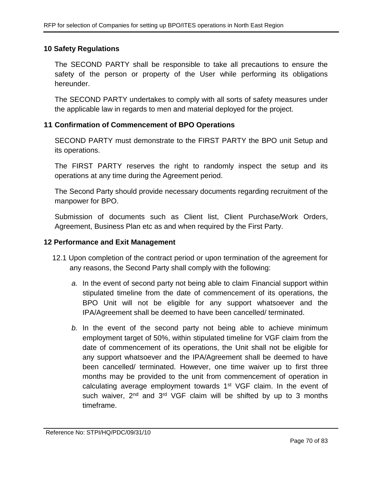## **10 Safety Regulations**

The SECOND PARTY shall be responsible to take all precautions to ensure the safety of the person or property of the User while performing its obligations hereunder.

The SECOND PARTY undertakes to comply with all sorts of safety measures under the applicable law in regards to men and material deployed for the project.

## **11 Confirmation of Commencement of BPO Operations**

SECOND PARTY must demonstrate to the FIRST PARTY the BPO unit Setup and its operations.

The FIRST PARTY reserves the right to randomly inspect the setup and its operations at any time during the Agreement period.

The Second Party should provide necessary documents regarding recruitment of the manpower for BPO.

Submission of documents such as Client list, Client Purchase/Work Orders, Agreement, Business Plan etc as and when required by the First Party.

## **12 Performance and Exit Management**

- 12.1 Upon completion of the contract period or upon termination of the agreement for any reasons, the Second Party shall comply with the following:
	- *a.* In the event of second party not being able to claim Financial support within stipulated timeline from the date of commencement of its operations, the BPO Unit will not be eligible for any support whatsoever and the IPA/Agreement shall be deemed to have been cancelled/ terminated.
	- *b.* In the event of the second party not being able to achieve minimum employment target of 50%, within stipulated timeline for VGF claim from the date of commencement of its operations, the Unit shall not be eligible for any support whatsoever and the IPA/Agreement shall be deemed to have been cancelled/ terminated. However, one time waiver up to first three months may be provided to the unit from commencement of operation in calculating average employment towards 1<sup>st</sup> VGF claim. In the event of such waiver, 2<sup>nd</sup> and 3<sup>rd</sup> VGF claim will be shifted by up to 3 months timeframe.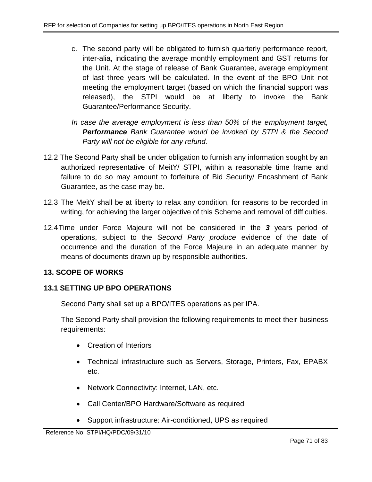- c. The second party will be obligated to furnish quarterly performance report, inter-alia, indicating the average monthly employment and GST returns for the Unit. At the stage of release of Bank Guarantee, average employment of last three years will be calculated. In the event of the BPO Unit not meeting the employment target (based on which the financial support was released), the STPI would be at liberty to invoke the Bank Guarantee/Performance Security.
- *In case the average employment is less than 50% of the employment target, Performance Bank Guarantee would be invoked by STPI & the Second Party will not be eligible for any refund.*
- 12.2 The Second Party shall be under obligation to furnish any information sought by an authorized representative of MeitY/ STPI, within a reasonable time frame and failure to do so may amount to forfeiture of Bid Security/ Encashment of Bank Guarantee, as the case may be.
- 12.3 The MeitY shall be at liberty to relax any condition, for reasons to be recorded in writing, for achieving the larger objective of this Scheme and removal of difficulties.
- 12.4Time under Force Majeure will not be considered in the *3* years period of operations, subject to the *Second Party produce* evidence of the date of occurrence and the duration of the Force Majeure in an adequate manner by means of documents drawn up by responsible authorities.

# **13. SCOPE OF WORKS**

# **13.1 SETTING UP BPO OPERATIONS**

Second Party shall set up a BPO/ITES operations as per IPA.

The Second Party shall provision the following requirements to meet their business requirements:

- Creation of Interiors
- Technical infrastructure such as Servers, Storage, Printers, Fax, EPABX etc.
- Network Connectivity: Internet, LAN, etc.
- Call Center/BPO Hardware/Software as required
- Support infrastructure: Air-conditioned, UPS as required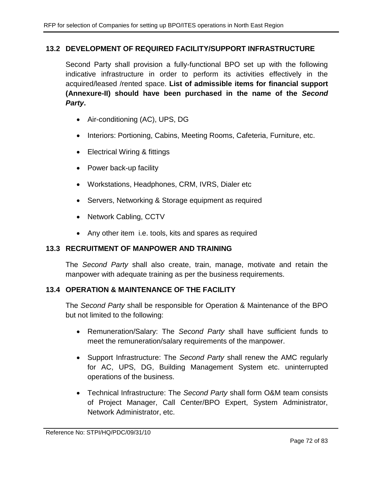# **13.2 DEVELOPMENT OF REQUIRED FACILITY/SUPPORT INFRASTRUCTURE**

Second Party shall provision a fully-functional BPO set up with the following indicative infrastructure in order to perform its activities effectively in the acquired/leased /rented space. **List of admissible items for financial support (Annexure-II) should have been purchased in the name of the** *Second Party***.**

- Air-conditioning (AC), UPS, DG
- Interiors: Portioning, Cabins, Meeting Rooms, Cafeteria, Furniture, etc.
- Electrical Wiring & fittings
- Power back-up facility
- Workstations, Headphones, CRM, IVRS, Dialer etc
- Servers, Networking & Storage equipment as required
- Network Cabling, CCTV
- Any other item i.e. tools, kits and spares as required

## **13.3 RECRUITMENT OF MANPOWER AND TRAINING**

The *Second Party* shall also create, train, manage, motivate and retain the manpower with adequate training as per the business requirements.

# **13.4 OPERATION & MAINTENANCE OF THE FACILITY**

The *Second Party* shall be responsible for Operation & Maintenance of the BPO but not limited to the following:

- Remuneration/Salary: The *Second Party* shall have sufficient funds to meet the remuneration/salary requirements of the manpower.
- Support Infrastructure: The *Second Party* shall renew the AMC regularly for AC, UPS, DG, Building Management System etc. uninterrupted operations of the business.
- Technical Infrastructure: The *Second Party* shall form O&M team consists of Project Manager, Call Center/BPO Expert, System Administrator, Network Administrator, etc.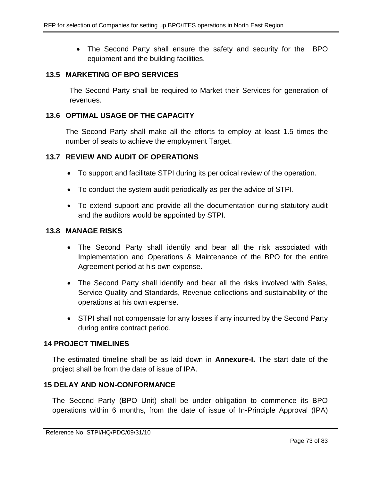• The Second Party shall ensure the safety and security for the BPO equipment and the building facilities.

#### **13.5 MARKETING OF BPO SERVICES**

The Second Party shall be required to Market their Services for generation of revenues.

#### **13.6 OPTIMAL USAGE OF THE CAPACITY**

The Second Party shall make all the efforts to employ at least 1.5 times the number of seats to achieve the employment Target.

#### **13.7 REVIEW AND AUDIT OF OPERATIONS**

- To support and facilitate STPI during its periodical review of the operation.
- To conduct the system audit periodically as per the advice of STPI.
- To extend support and provide all the documentation during statutory audit and the auditors would be appointed by STPI.

#### **13.8 MANAGE RISKS**

- The Second Party shall identify and bear all the risk associated with Implementation and Operations & Maintenance of the BPO for the entire Agreement period at his own expense.
- The Second Party shall identify and bear all the risks involved with Sales, Service Quality and Standards, Revenue collections and sustainability of the operations at his own expense.
- STPI shall not compensate for any losses if any incurred by the Second Party during entire contract period.

### **14 PROJECT TIMELINES**

The estimated timeline shall be as laid down in **Annexure-I.** The start date of the project shall be from the date of issue of IPA.

### **15 DELAY AND NON-CONFORMANCE**

The Second Party (BPO Unit) shall be under obligation to commence its BPO operations within 6 months, from the date of issue of In-Principle Approval (IPA)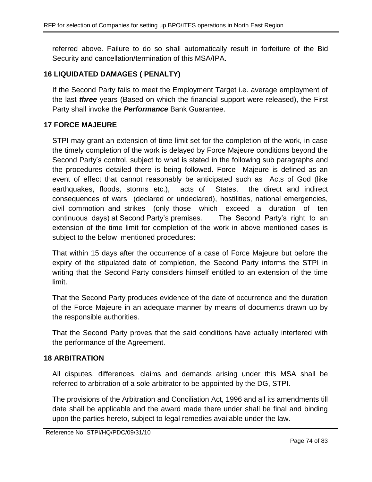referred above. Failure to do so shall automatically result in forfeiture of the Bid Security and cancellation/termination of this MSA/IPA.

# **16 LIQUIDATED DAMAGES ( PENALTY)**

If the Second Party fails to meet the Employment Target i.e. average employment of the last *three* years (Based on which the financial support were released), the First Party shall invoke the *Performance* Bank Guarantee.

# **17 FORCE MAJEURE**

STPI may grant an extension of time limit set for the completion of the work, in case the timely completion of the work is delayed by Force Majeure conditions beyond the Second Party's control, subject to what is stated in the following sub paragraphs and the procedures detailed there is being followed. Force Majeure is defined as an event of effect that cannot reasonably be anticipated such as Acts of God (like earthquakes, floods, storms etc.), acts of States, the direct and indirect consequences of wars (declared or undeclared), hostilities, national emergencies, civil commotion and strikes (only those which exceed a duration of ten continuous days) at Second Party's premises. The Second Party's right to an extension of the time limit for completion of the work in above mentioned cases is subject to the below mentioned procedures:

That within 15 days after the occurrence of a case of Force Majeure but before the expiry of the stipulated date of completion, the Second Party informs the STPI in writing that the Second Party considers himself entitled to an extension of the time limit.

That the Second Party produces evidence of the date of occurrence and the duration of the Force Majeure in an adequate manner by means of documents drawn up by the responsible authorities.

That the Second Party proves that the said conditions have actually interfered with the performance of the Agreement.

# **18 ARBITRATION**

All disputes, differences, claims and demands arising under this MSA shall be referred to arbitration of a sole arbitrator to be appointed by the DG, STPI.

The provisions of the Arbitration and Conciliation Act, 1996 and all its amendments till date shall be applicable and the award made there under shall be final and binding upon the parties hereto, subject to legal remedies available under the law.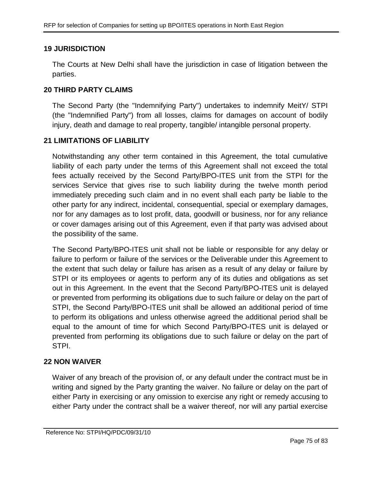# **19 JURISDICTION**

The Courts at New Delhi shall have the jurisdiction in case of litigation between the parties.

## **20 THIRD PARTY CLAIMS**

The Second Party (the "Indemnifying Party") undertakes to indemnify MeitY/ STPI (the "Indemnified Party") from all losses, claims for damages on account of bodily injury, death and damage to real property, tangible/ intangible personal property.

## **21 LIMITATIONS OF LIABILITY**

Notwithstanding any other term contained in this Agreement, the total cumulative liability of each party under the terms of this Agreement shall not exceed the total fees actually received by the Second Party/BPO-ITES unit from the STPI for the services Service that gives rise to such liability during the twelve month period immediately preceding such claim and in no event shall each party be liable to the other party for any indirect, incidental, consequential, special or exemplary damages, nor for any damages as to lost profit, data, goodwill or business, nor for any reliance or cover damages arising out of this Agreement, even if that party was advised about the possibility of the same.

The Second Party/BPO-ITES unit shall not be liable or responsible for any delay or failure to perform or failure of the services or the Deliverable under this Agreement to the extent that such delay or failure has arisen as a result of any delay or failure by STPI or its employees or agents to perform any of its duties and obligations as set out in this Agreement. In the event that the Second Party/BPO-ITES unit is delayed or prevented from performing its obligations due to such failure or delay on the part of STPI, the Second Party/BPO-ITES unit shall be allowed an additional period of time to perform its obligations and unless otherwise agreed the additional period shall be equal to the amount of time for which Second Party/BPO-ITES unit is delayed or prevented from performing its obligations due to such failure or delay on the part of STPI.

# **22 NON WAIVER**

Waiver of any breach of the provision of, or any default under the contract must be in writing and signed by the Party granting the waiver. No failure or delay on the part of either Party in exercising or any omission to exercise any right or remedy accusing to either Party under the contract shall be a waiver thereof, nor will any partial exercise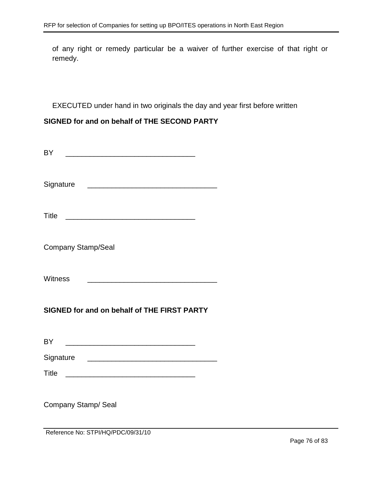of any right or remedy particular be a waiver of further exercise of that right or remedy.

EXECUTED under hand in two originals the day and year first before written

# **SIGNED for and on behalf of THE SECOND PARTY**

| BY<br><u> 1989 - Johann Stoff, deutscher Stoff, der Stoff, der Stoff, der Stoff, der Stoff, der Stoff, der Stoff, der S</u>             |  |  |  |
|-----------------------------------------------------------------------------------------------------------------------------------------|--|--|--|
| Signature<br><u> 2002 - Jan James James James James James James James James James James James James James James James James Ja</u>      |  |  |  |
| <b>Title</b>                                                                                                                            |  |  |  |
| <b>Company Stamp/Seal</b>                                                                                                               |  |  |  |
| <b>Witness</b><br><u> 1989 - Johann Barn, mars ann an t-Amhain an t-Amhain an t-Amhain an t-Amhain an t-Amhain an t-Amhain an t-Amh</u> |  |  |  |
| SIGNED for and on behalf of THE FIRST PARTY                                                                                             |  |  |  |
| <b>BY</b>                                                                                                                               |  |  |  |
|                                                                                                                                         |  |  |  |
|                                                                                                                                         |  |  |  |
| Title                                                                                                                                   |  |  |  |
| Company Stamp/ Seal<br>Reference No: STPI/HQ/PDC/09/31/10                                                                               |  |  |  |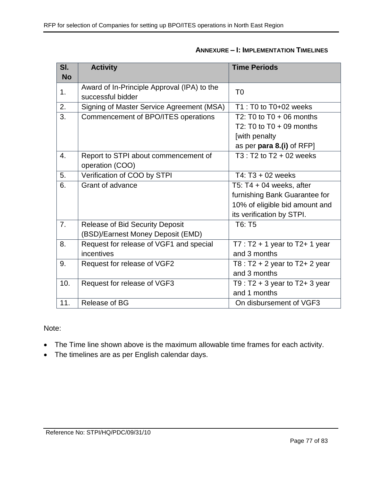| SI.              | <b>Activity</b>                             | <b>Time Periods</b>                 |
|------------------|---------------------------------------------|-------------------------------------|
| <b>No</b>        |                                             |                                     |
| 1.               | Award of In-Principle Approval (IPA) to the | T <sub>0</sub>                      |
|                  | successful bidder                           |                                     |
| 2.               | Signing of Master Service Agreement (MSA)   | $T1: T0$ to $T0+02$ weeks           |
| 3.               | Commencement of BPO/ITES operations         | T2: T0 to T0 + 06 months            |
|                  |                                             | T2: T0 to $T0 + 09$ months          |
|                  |                                             | [with penalty                       |
|                  |                                             | as per para 8.(i) of RFP]           |
| 4.               | Report to STPI about commencement of        | $T3: T2$ to $T2 + 02$ weeks         |
|                  | operation (COO)                             |                                     |
| $\overline{5}$ . | Verification of COO by STPI                 | T4: T3 + 02 weeks                   |
| 6.               | Grant of advance                            | T5: T4 + 04 weeks, after            |
|                  |                                             | furnishing Bank Guarantee for       |
|                  |                                             | 10% of eligible bid amount and      |
|                  |                                             | its verification by STPI.           |
| $\overline{7}$ . | Release of Bid Security Deposit             | T6: T5                              |
|                  | (BSD)/Earnest Money Deposit (EMD)           |                                     |
| 8.               | Request for release of VGF1 and special     | $T7: T2 + 1$ year to T2+ 1 year     |
|                  | incentives                                  | and 3 months                        |
| 9.               | Request for release of VGF2                 | T8 : $T2 + 2$ year to $T2 + 2$ year |
|                  |                                             | and 3 months                        |
| 10.              | Request for release of VGF3                 | T9 : $T2 + 3$ year to $T2 + 3$ year |
|                  |                                             | and 1 months                        |
| 11.              | Release of BG                               | On disbursement of VGF3             |

# **ANNEXURE – I: IMPLEMENTATION TIMELINES**

Note:

- The Time line shown above is the maximum allowable time frames for each activity.
- The timelines are as per English calendar days.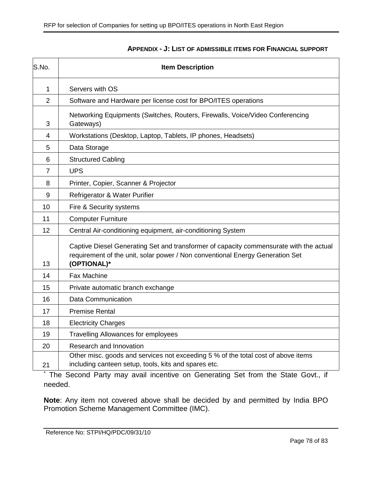| S.No.          | <b>Item Description</b>                                                                                                                                                                |  |
|----------------|----------------------------------------------------------------------------------------------------------------------------------------------------------------------------------------|--|
| 1              | Servers with OS                                                                                                                                                                        |  |
| $\overline{2}$ | Software and Hardware per license cost for BPO/ITES operations                                                                                                                         |  |
| 3              | Networking Equipments (Switches, Routers, Firewalls, Voice/Video Conferencing<br>Gateways)                                                                                             |  |
| 4              | Workstations (Desktop, Laptop, Tablets, IP phones, Headsets)                                                                                                                           |  |
| 5              | Data Storage                                                                                                                                                                           |  |
| 6              | <b>Structured Cabling</b>                                                                                                                                                              |  |
| 7              | <b>UPS</b>                                                                                                                                                                             |  |
| 8              | Printer, Copier, Scanner & Projector                                                                                                                                                   |  |
| 9              | Refrigerator & Water Purifier                                                                                                                                                          |  |
| 10             | Fire & Security systems                                                                                                                                                                |  |
| 11             | <b>Computer Furniture</b>                                                                                                                                                              |  |
| 12             | Central Air-conditioning equipment, air-conditioning System                                                                                                                            |  |
| 13             | Captive Diesel Generating Set and transformer of capacity commensurate with the actual<br>requirement of the unit, solar power / Non conventional Energy Generation Set<br>(OPTIONAL)* |  |
| 14             | Fax Machine                                                                                                                                                                            |  |
| 15             | Private automatic branch exchange                                                                                                                                                      |  |
| 16             | <b>Data Communication</b>                                                                                                                                                              |  |
| 17             | <b>Premise Rental</b>                                                                                                                                                                  |  |
| 18             | <b>Electricity Charges</b>                                                                                                                                                             |  |
| 19             | <b>Travelling Allowances for employees</b>                                                                                                                                             |  |
| 20             | Research and Innovation                                                                                                                                                                |  |
| 21             | Other misc. goods and services not exceeding 5 % of the total cost of above items<br>including canteen setup, tools, kits and spares etc.                                              |  |

## **APPENDIX - J: LIST OF ADMISSIBLE ITEMS FOR FINANCIAL SUPPORT**

The Second Party may avail incentive on Generating Set from the State Govt., if needed.

**Note**: Any item not covered above shall be decided by and permitted by India BPO Promotion Scheme Management Committee (IMC).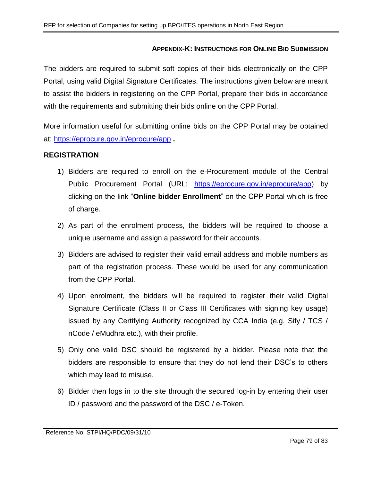### **APPENDIX-K: INSTRUCTIONS FOR ONLINE BID SUBMISSION**

The bidders are required to submit soft copies of their bids electronically on the CPP Portal, using valid Digital Signature Certificates. The instructions given below are meant to assist the bidders in registering on the CPP Portal, prepare their bids in accordance with the requirements and submitting their bids online on the CPP Portal.

More information useful for submitting online bids on the CPP Portal may be obtained at:<https://eprocure.gov.in/eprocure/app> **.**

### **REGISTRATION**

- 1) Bidders are required to enroll on the e-Procurement module of the Central Public Procurement Portal (URL: [https://eprocure.gov.in/eprocure/app\)](https://eprocure.gov.in/eprocure/app) by clicking on the link "**Online bidder Enrollment**" on the CPP Portal which is free of charge.
- 2) As part of the enrolment process, the bidders will be required to choose a unique username and assign a password for their accounts.
- 3) Bidders are advised to register their valid email address and mobile numbers as part of the registration process. These would be used for any communication from the CPP Portal.
- 4) Upon enrolment, the bidders will be required to register their valid Digital Signature Certificate (Class II or Class III Certificates with signing key usage) issued by any Certifying Authority recognized by CCA India (e.g. Sify / TCS / nCode / eMudhra etc.), with their profile.
- 5) Only one valid DSC should be registered by a bidder. Please note that the bidders are responsible to ensure that they do not lend their DSC's to others which may lead to misuse.
- 6) Bidder then logs in to the site through the secured log-in by entering their user ID / password and the password of the DSC / e-Token.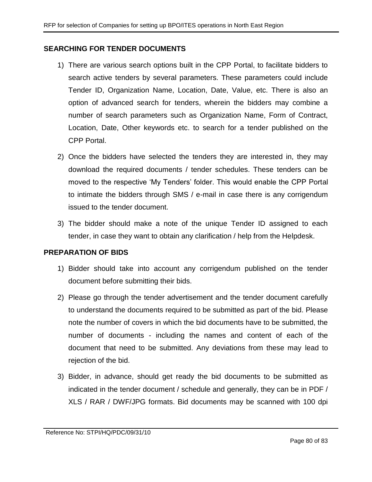### **SEARCHING FOR TENDER DOCUMENTS**

- 1) There are various search options built in the CPP Portal, to facilitate bidders to search active tenders by several parameters. These parameters could include Tender ID, Organization Name, Location, Date, Value, etc. There is also an option of advanced search for tenders, wherein the bidders may combine a number of search parameters such as Organization Name, Form of Contract, Location, Date, Other keywords etc. to search for a tender published on the CPP Portal.
- 2) Once the bidders have selected the tenders they are interested in, they may download the required documents / tender schedules. These tenders can be moved to the respective 'My Tenders' folder. This would enable the CPP Portal to intimate the bidders through SMS / e-mail in case there is any corrigendum issued to the tender document.
- 3) The bidder should make a note of the unique Tender ID assigned to each tender, in case they want to obtain any clarification / help from the Helpdesk.

### **PREPARATION OF BIDS**

- 1) Bidder should take into account any corrigendum published on the tender document before submitting their bids.
- 2) Please go through the tender advertisement and the tender document carefully to understand the documents required to be submitted as part of the bid. Please note the number of covers in which the bid documents have to be submitted, the number of documents - including the names and content of each of the document that need to be submitted. Any deviations from these may lead to rejection of the bid.
- 3) Bidder, in advance, should get ready the bid documents to be submitted as indicated in the tender document / schedule and generally, they can be in PDF / XLS / RAR / DWF/JPG formats. Bid documents may be scanned with 100 dpi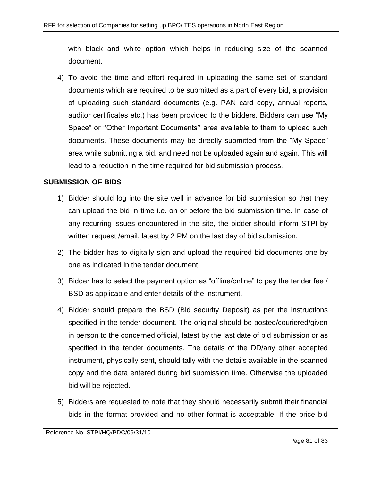with black and white option which helps in reducing size of the scanned document.

4) To avoid the time and effort required in uploading the same set of standard documents which are required to be submitted as a part of every bid, a provision of uploading such standard documents (e.g. PAN card copy, annual reports, auditor certificates etc.) has been provided to the bidders. Bidders can use "My Space" or ''Other Important Documents'' area available to them to upload such documents. These documents may be directly submitted from the "My Space" area while submitting a bid, and need not be uploaded again and again. This will lead to a reduction in the time required for bid submission process.

### **SUBMISSION OF BIDS**

- 1) Bidder should log into the site well in advance for bid submission so that they can upload the bid in time i.e. on or before the bid submission time. In case of any recurring issues encountered in the site, the bidder should inform STPI by written request /email, latest by 2 PM on the last day of bid submission.
- 2) The bidder has to digitally sign and upload the required bid documents one by one as indicated in the tender document.
- 3) Bidder has to select the payment option as "offline/online" to pay the tender fee / BSD as applicable and enter details of the instrument.
- 4) Bidder should prepare the BSD (Bid security Deposit) as per the instructions specified in the tender document. The original should be posted/couriered/given in person to the concerned official, latest by the last date of bid submission or as specified in the tender documents. The details of the DD/any other accepted instrument, physically sent, should tally with the details available in the scanned copy and the data entered during bid submission time. Otherwise the uploaded bid will be rejected.
- 5) Bidders are requested to note that they should necessarily submit their financial bids in the format provided and no other format is acceptable. If the price bid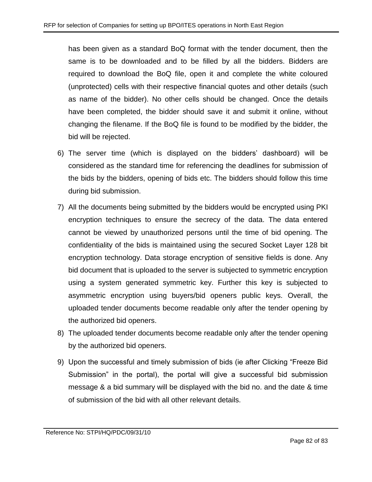has been given as a standard BoQ format with the tender document, then the same is to be downloaded and to be filled by all the bidders. Bidders are required to download the BoQ file, open it and complete the white coloured (unprotected) cells with their respective financial quotes and other details (such as name of the bidder). No other cells should be changed. Once the details have been completed, the bidder should save it and submit it online, without changing the filename. If the BoQ file is found to be modified by the bidder, the bid will be rejected.

- 6) The server time (which is displayed on the bidders' dashboard) will be considered as the standard time for referencing the deadlines for submission of the bids by the bidders, opening of bids etc. The bidders should follow this time during bid submission.
- 7) All the documents being submitted by the bidders would be encrypted using PKI encryption techniques to ensure the secrecy of the data. The data entered cannot be viewed by unauthorized persons until the time of bid opening. The confidentiality of the bids is maintained using the secured Socket Layer 128 bit encryption technology. Data storage encryption of sensitive fields is done. Any bid document that is uploaded to the server is subjected to symmetric encryption using a system generated symmetric key. Further this key is subjected to asymmetric encryption using buyers/bid openers public keys. Overall, the uploaded tender documents become readable only after the tender opening by the authorized bid openers.
- 8) The uploaded tender documents become readable only after the tender opening by the authorized bid openers.
- 9) Upon the successful and timely submission of bids (ie after Clicking "Freeze Bid Submission" in the portal), the portal will give a successful bid submission message & a bid summary will be displayed with the bid no. and the date & time of submission of the bid with all other relevant details.